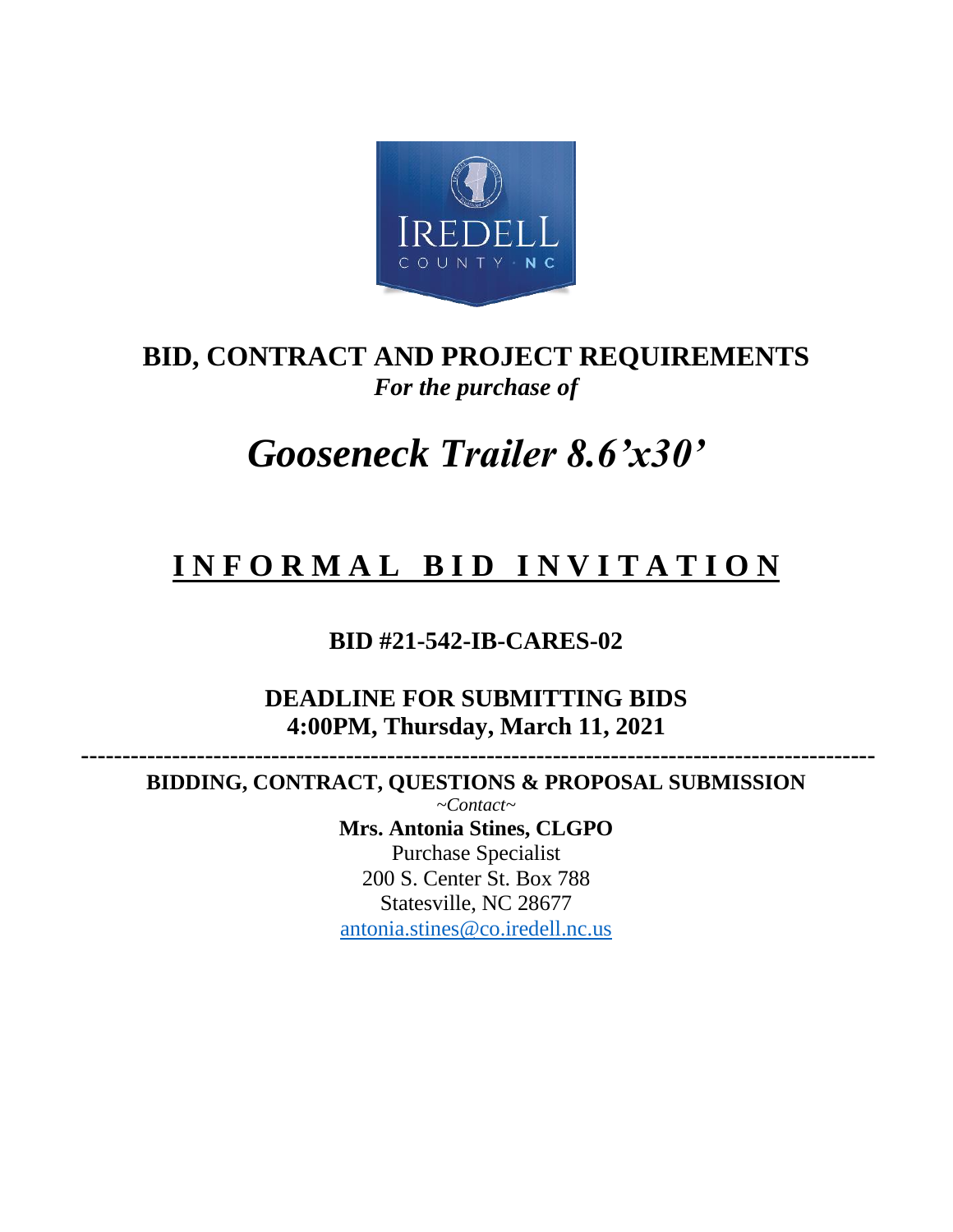

# **BID, CONTRACT AND PROJECT REQUIREMENTS** *For the purchase of*

# *Gooseneck Trailer 8.6'x30'*

# **INFORMAL BID INVITATION**

# **BID #21-542-IB-CARES-02**

**DEADLINE FOR SUBMITTING BIDS 4:00PM, Thursday, March 11, 2021**

 **------------------------------------------------------------------------------------------------ BIDDING, CONTRACT, QUESTIONS & PROPOSAL SUBMISSION** 

> *~Contact~* **Mrs. Antonia Stines, CLGPO** Purchase Specialist 200 S. Center St. Box 788 Statesville, NC 28677 [antonia.stines@co.iredell.nc.us](mailto:antonia.stines@co.iredell.nc.us)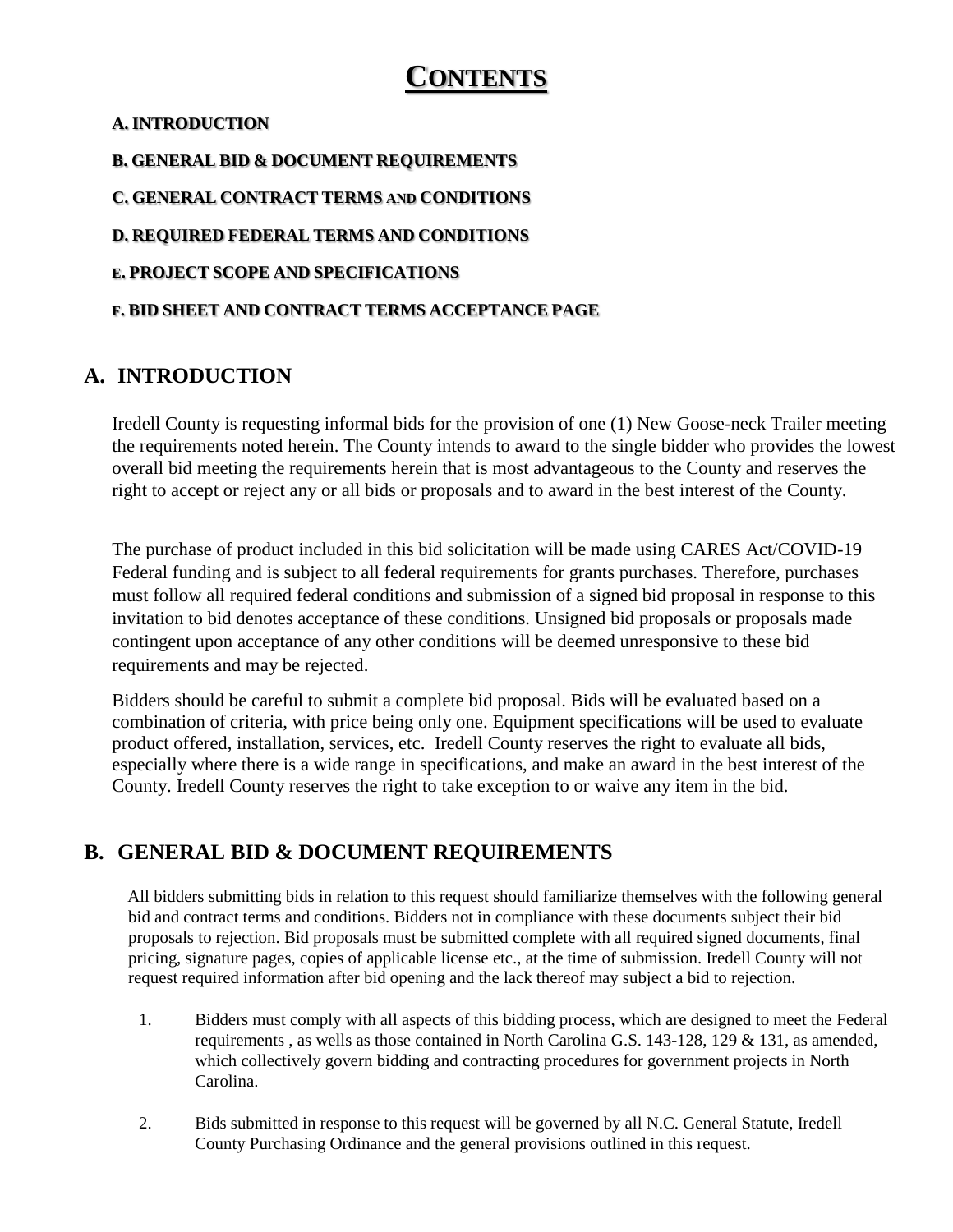# **CONTENTS**

**A. INTRODUCTION**

**B. GENERAL BID & DOCUMENT REQUIREMENTS C. GENERAL CONTRACT TERMS AND CONDITIONS D. REQUIRED FEDERAL TERMS AND CONDITIONS E. PROJECT SCOPE AND SPECIFICATIONS F. BID SHEET AND CONTRACT TERMS ACCEPTANCE PAGE** 

## **A. INTRODUCTION**

Iredell County is requesting informal bids for the provision of one (1) New Goose-neck Trailer meeting the requirements noted herein. The County intends to award to the single bidder who provides the lowest overall bid meeting the requirements herein that is most advantageous to the County and reserves the right to accept or reject any or all bids or proposals and to award in the best interest of the County.

The purchase of product included in this bid solicitation will be made using CARES Act/COVID-19 Federal funding and is subject to all federal requirements for grants purchases. Therefore, purchases must follow all required federal conditions and submission of a signed bid proposal in response to this invitation to bid denotes acceptance of these conditions. Unsigned bid proposals or proposals made contingent upon acceptance of any other conditions will be deemed unresponsive to these bid requirements and may be rejected.

Bidders should be careful to submit a complete bid proposal. Bids will be evaluated based on a combination of criteria, with price being only one. Equipment specifications will be used to evaluate product offered, installation, services, etc. Iredell County reserves the right to evaluate all bids, especially where there is a wide range in specifications, and make an award in the best interest of the County. Iredell County reserves the right to take exception to or waive any item in the bid.

## **B. GENERAL BID & DOCUMENT REQUIREMENTS**

All bidders submitting bids in relation to this request should familiarize themselves with the following general bid and contract terms and conditions. Bidders not in compliance with these documents subject their bid proposals to rejection. Bid proposals must be submitted complete with all required signed documents, final pricing, signature pages, copies of applicable license etc., at the time of submission. Iredell County will not request required information after bid opening and the lack thereof may subject a bid to rejection.

- 1. Bidders must comply with all aspects of this bidding process, which are designed to meet the Federal requirements , as wells as those contained in North Carolina G.S. 143-128, 129 & 131, as amended, which collectively govern bidding and contracting procedures for government projects in North Carolina.
- 2. Bids submitted in response to this request will be governed by all N.C. General Statute, Iredell County Purchasing Ordinance and the general provisions outlined in this request.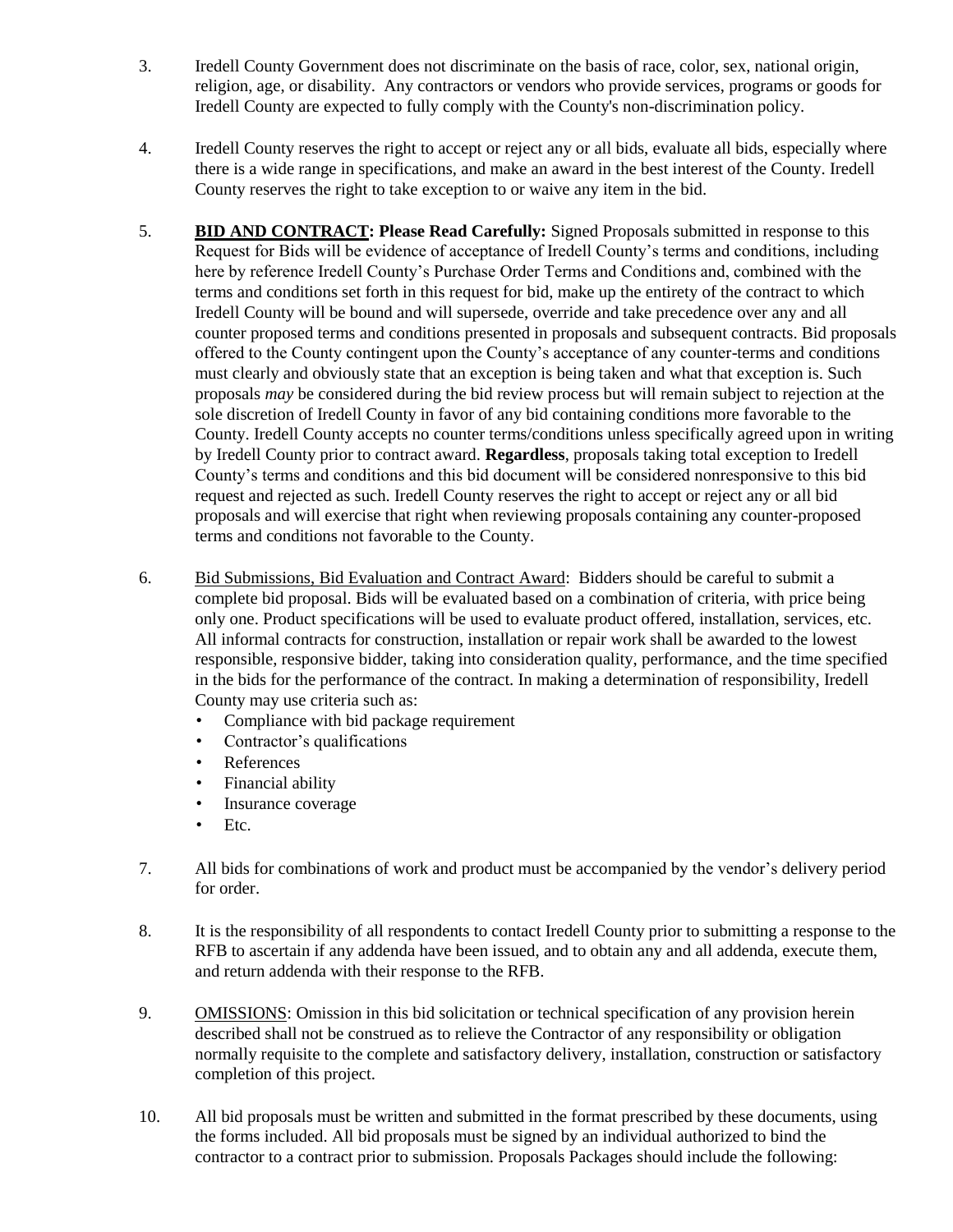- 3. Iredell County Government does not discriminate on the basis of race, color, sex, national origin, religion, age, or disability. Any contractors or vendors who provide services, programs or goods for Iredell County are expected to fully comply with the County's non-discrimination policy.
- 4. Iredell County reserves the right to accept or reject any or all bids, evaluate all bids, especially where there is a wide range in specifications, and make an award in the best interest of the County. Iredell County reserves the right to take exception to or waive any item in the bid.
- 5. **BID AND CONTRACT: Please Read Carefully:** Signed Proposals submitted in response to this Request for Bids will be evidence of acceptance of Iredell County's terms and conditions, including here by reference Iredell County's Purchase Order Terms and Conditions and, combined with the terms and conditions set forth in this request for bid, make up the entirety of the contract to which Iredell County will be bound and will supersede, override and take precedence over any and all counter proposed terms and conditions presented in proposals and subsequent contracts. Bid proposals offered to the County contingent upon the County's acceptance of any counter-terms and conditions must clearly and obviously state that an exception is being taken and what that exception is. Such proposals *may* be considered during the bid review process but will remain subject to rejection at the sole discretion of Iredell County in favor of any bid containing conditions more favorable to the County. Iredell County accepts no counter terms/conditions unless specifically agreed upon in writing by Iredell County prior to contract award. **Regardless**, proposals taking total exception to Iredell County's terms and conditions and this bid document will be considered nonresponsive to this bid request and rejected as such. Iredell County reserves the right to accept or reject any or all bid proposals and will exercise that right when reviewing proposals containing any counter-proposed terms and conditions not favorable to the County.
- 6. Bid Submissions, Bid Evaluation and Contract Award: Bidders should be careful to submit a complete bid proposal. Bids will be evaluated based on a combination of criteria, with price being only one. Product specifications will be used to evaluate product offered, installation, services, etc. All informal contracts for construction, installation or repair work shall be awarded to the lowest responsible, responsive bidder, taking into consideration quality, performance, and the time specified in the bids for the performance of the contract. In making a determination of responsibility, Iredell County may use criteria such as:
	- Compliance with bid package requirement
	- Contractor's qualifications
	- **References**
	- Financial ability
	- Insurance coverage
	- Etc.
- 7. All bids for combinations of work and product must be accompanied by the vendor's delivery period for order.
- 8. It is the responsibility of all respondents to contact Iredell County prior to submitting a response to the RFB to ascertain if any addenda have been issued, and to obtain any and all addenda, execute them, and return addenda with their response to the RFB.
- 9. OMISSIONS: Omission in this bid solicitation or technical specification of any provision herein described shall not be construed as to relieve the Contractor of any responsibility or obligation normally requisite to the complete and satisfactory delivery, installation, construction or satisfactory completion of this project.
- 10. All bid proposals must be written and submitted in the format prescribed by these documents, using the forms included. All bid proposals must be signed by an individual authorized to bind the contractor to a contract prior to submission. Proposals Packages should include the following: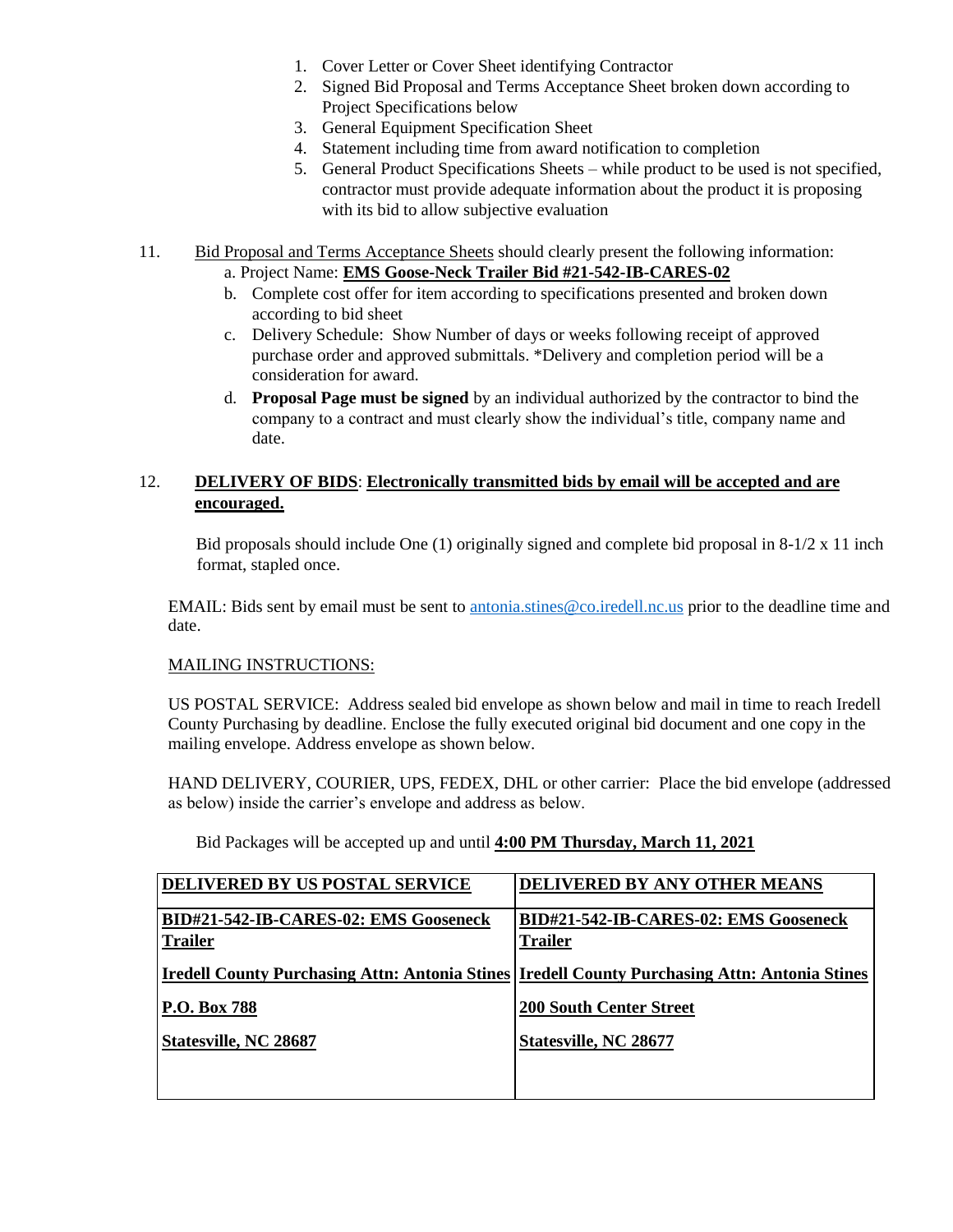- 1. Cover Letter or Cover Sheet identifying Contractor
- 2. Signed Bid Proposal and Terms Acceptance Sheet broken down according to Project Specifications below
- 3. General Equipment Specification Sheet
- 4. Statement including time from award notification to completion
- 5. General Product Specifications Sheets while product to be used is not specified, contractor must provide adequate information about the product it is proposing with its bid to allow subjective evaluation
- 11. Bid Proposal and Terms Acceptance Sheets should clearly present the following information: a. Project Name: **EMS Goose-Neck Trailer Bid #21-542-IB-CARES-02**
	- b. Complete cost offer for item according to specifications presented and broken down according to bid sheet
	- c. Delivery Schedule: Show Number of days or weeks following receipt of approved purchase order and approved submittals. \*Delivery and completion period will be a consideration for award.
	- d. **Proposal Page must be signed** by an individual authorized by the contractor to bind the company to a contract and must clearly show the individual's title, company name and date.

#### 12. **DELIVERY OF BIDS**: **Electronically transmitted bids by email will be accepted and are encouraged.**

Bid proposals should include One  $(1)$  originally signed and complete bid proposal in 8-1/2 x 11 inch format, stapled once.

EMAIL: Bids sent by email must be sent to [antonia.stines@co.iredell.nc.us](mailto:antonia.stines@co.iredell.nc.us) prior to the deadline time and date.

#### MAILING INSTRUCTIONS:

US POSTAL SERVICE: Address sealed bid envelope as shown below and mail in time to reach Iredell County Purchasing by deadline. Enclose the fully executed original bid document and one copy in the mailing envelope. Address envelope as shown below.

HAND DELIVERY, COURIER, UPS, FEDEX, DHL or other carrier: Place the bid envelope (addressed as below) inside the carrier's envelope and address as below.

#### Bid Packages will be accepted up and until **4:00 PM Thursday, March 11, 2021**

| DELIVERED BY ANY OTHER MEANS                                                                           |
|--------------------------------------------------------------------------------------------------------|
| BID#21-542-IB-CARES-02: EMS Gooseneck                                                                  |
| <b>Trailer</b>                                                                                         |
| <b>Iredell County Purchasing Attn: Antonia Stines   Iredell County Purchasing Attn: Antonia Stines</b> |
| <b>200 South Center Street</b>                                                                         |
| Statesville, NC 28677                                                                                  |
|                                                                                                        |
|                                                                                                        |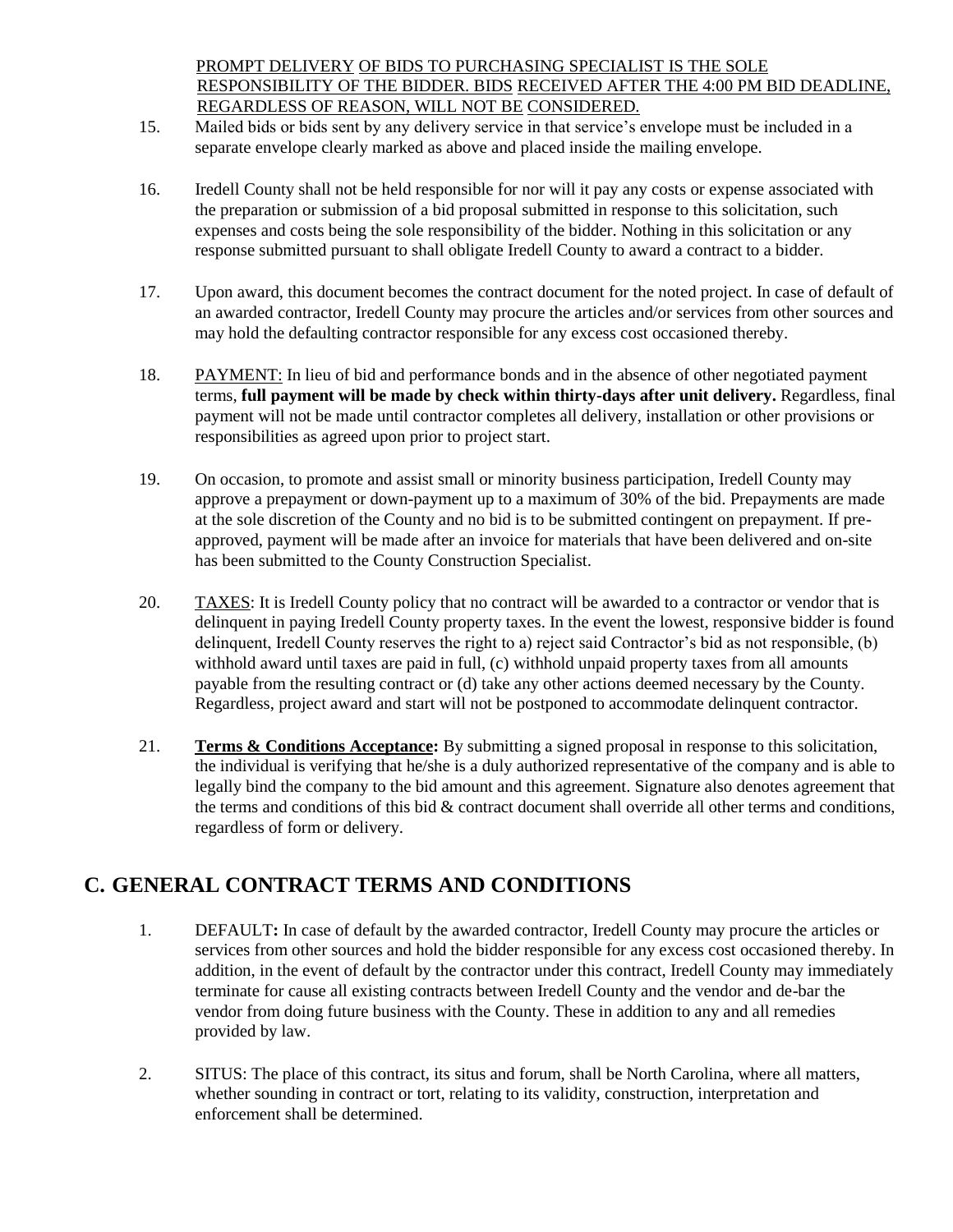PROMPT DELIVERY OF BIDS TO PURCHASING SPECIALIST IS THE SOLE RESPONSIBILITY OF THE BIDDER. BIDS RECEIVED AFTER THE 4:00 PM BID DEADLINE, REGARDLESS OF REASON, WILL NOT BE CONSIDERED.

- 15. Mailed bids or bids sent by any delivery service in that service's envelope must be included in a separate envelope clearly marked as above and placed inside the mailing envelope.
- 16. Iredell County shall not be held responsible for nor will it pay any costs or expense associated with the preparation or submission of a bid proposal submitted in response to this solicitation, such expenses and costs being the sole responsibility of the bidder. Nothing in this solicitation or any response submitted pursuant to shall obligate Iredell County to award a contract to a bidder.
- 17. Upon award, this document becomes the contract document for the noted project. In case of default of an awarded contractor, Iredell County may procure the articles and/or services from other sources and may hold the defaulting contractor responsible for any excess cost occasioned thereby.
- 18. PAYMENT: In lieu of bid and performance bonds and in the absence of other negotiated payment terms, **full payment will be made by check within thirty-days after unit delivery.** Regardless, final payment will not be made until contractor completes all delivery, installation or other provisions or responsibilities as agreed upon prior to project start.
- 19. On occasion, to promote and assist small or minority business participation, Iredell County may approve a prepayment or down-payment up to a maximum of 30% of the bid. Prepayments are made at the sole discretion of the County and no bid is to be submitted contingent on prepayment. If preapproved, payment will be made after an invoice for materials that have been delivered and on-site has been submitted to the County Construction Specialist.
- 20. TAXES: It is Iredell County policy that no contract will be awarded to a contractor or vendor that is delinquent in paying Iredell County property taxes. In the event the lowest, responsive bidder is found delinquent, Iredell County reserves the right to a) reject said Contractor's bid as not responsible, (b) withhold award until taxes are paid in full, (c) withhold unpaid property taxes from all amounts payable from the resulting contract or (d) take any other actions deemed necessary by the County. Regardless, project award and start will not be postponed to accommodate delinquent contractor.
- 21. **Terms & Conditions Acceptance:** By submitting a signed proposal in response to this solicitation, the individual is verifying that he/she is a duly authorized representative of the company and is able to legally bind the company to the bid amount and this agreement. Signature also denotes agreement that the terms and conditions of this bid & contract document shall override all other terms and conditions, regardless of form or delivery.

## **C. GENERAL CONTRACT TERMS AND CONDITIONS**

- 1. DEFAULT**:** In case of default by the awarded contractor, Iredell County may procure the articles or services from other sources and hold the bidder responsible for any excess cost occasioned thereby. In addition, in the event of default by the contractor under this contract, Iredell County may immediately terminate for cause all existing contracts between Iredell County and the vendor and de-bar the vendor from doing future business with the County. These in addition to any and all remedies provided by law.
- 2. SITUS: The place of this contract, its situs and forum, shall be North Carolina, where all matters, whether sounding in contract or tort, relating to its validity, construction, interpretation and enforcement shall be determined.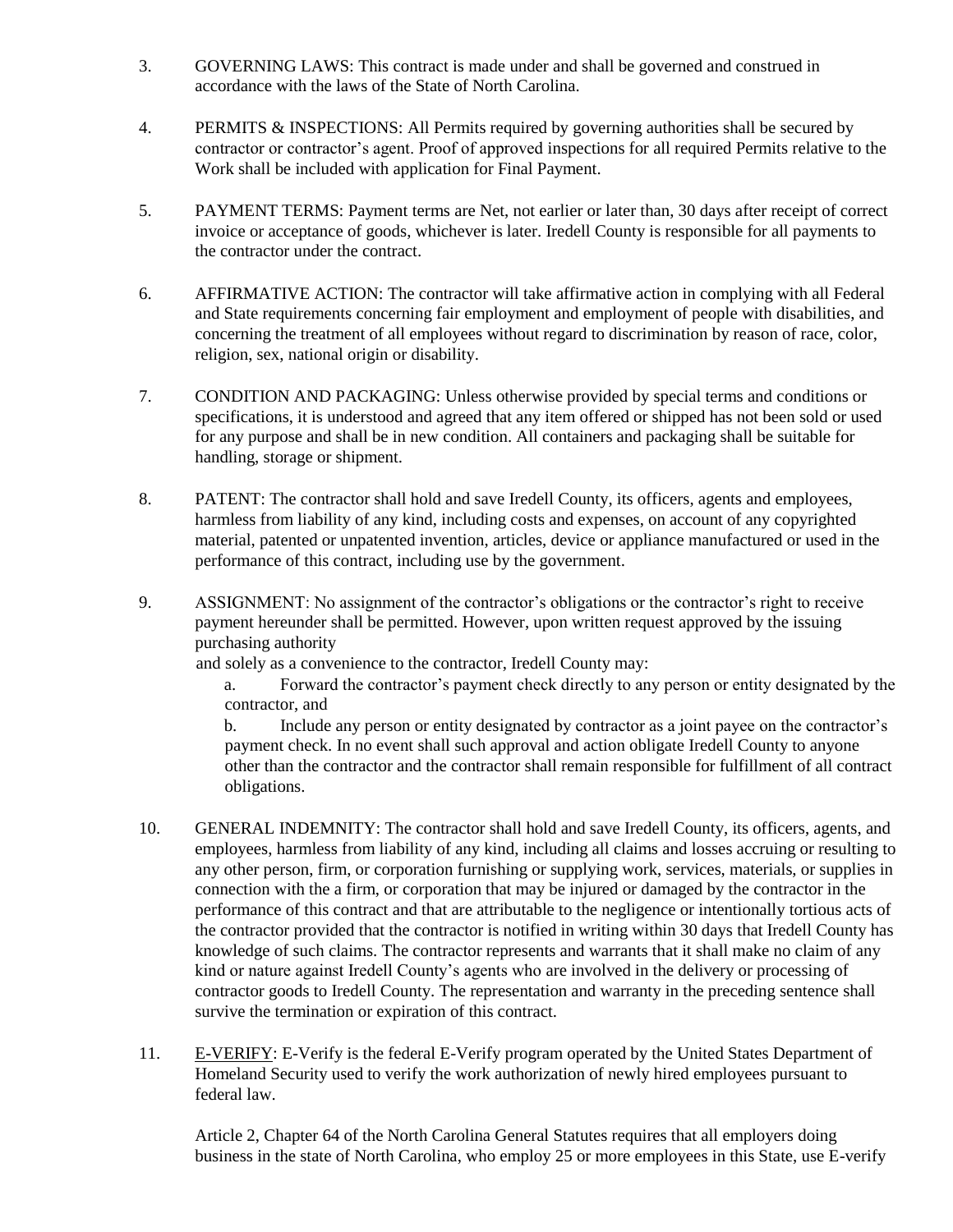- 3. GOVERNING LAWS: This contract is made under and shall be governed and construed in accordance with the laws of the State of North Carolina.
- 4. PERMITS & INSPECTIONS: All Permits required by governing authorities shall be secured by contractor or contractor's agent. Proof of approved inspections for all required Permits relative to the Work shall be included with application for Final Payment.
- 5. PAYMENT TERMS: Payment terms are Net, not earlier or later than, 30 days after receipt of correct invoice or acceptance of goods, whichever is later. Iredell County is responsible for all payments to the contractor under the contract.
- 6. AFFIRMATIVE ACTION: The contractor will take affirmative action in complying with all Federal and State requirements concerning fair employment and employment of people with disabilities, and concerning the treatment of all employees without regard to discrimination by reason of race, color, religion, sex, national origin or disability.
- 7. CONDITION AND PACKAGING: Unless otherwise provided by special terms and conditions or specifications, it is understood and agreed that any item offered or shipped has not been sold or used for any purpose and shall be in new condition. All containers and packaging shall be suitable for handling, storage or shipment.
- 8. PATENT: The contractor shall hold and save Iredell County, its officers, agents and employees, harmless from liability of any kind, including costs and expenses, on account of any copyrighted material, patented or unpatented invention, articles, device or appliance manufactured or used in the performance of this contract, including use by the government.
- 9. ASSIGNMENT: No assignment of the contractor's obligations or the contractor's right to receive payment hereunder shall be permitted. However, upon written request approved by the issuing purchasing authority

and solely as a convenience to the contractor, Iredell County may:

a. Forward the contractor's payment check directly to any person or entity designated by the contractor, and

b. Include any person or entity designated by contractor as a joint payee on the contractor's payment check. In no event shall such approval and action obligate Iredell County to anyone other than the contractor and the contractor shall remain responsible for fulfillment of all contract obligations.

- 10. GENERAL INDEMNITY: The contractor shall hold and save Iredell County, its officers, agents, and employees, harmless from liability of any kind, including all claims and losses accruing or resulting to any other person, firm, or corporation furnishing or supplying work, services, materials, or supplies in connection with the a firm, or corporation that may be injured or damaged by the contractor in the performance of this contract and that are attributable to the negligence or intentionally tortious acts of the contractor provided that the contractor is notified in writing within 30 days that Iredell County has knowledge of such claims. The contractor represents and warrants that it shall make no claim of any kind or nature against Iredell County's agents who are involved in the delivery or processing of contractor goods to Iredell County. The representation and warranty in the preceding sentence shall survive the termination or expiration of this contract.
- 11. E-VERIFY: E-Verify is the federal E-Verify program operated by the United States Department of Homeland Security used to verify the work authorization of newly hired employees pursuant to federal law.

Article 2, Chapter 64 of the North Carolina General Statutes requires that all employers doing business in the state of North Carolina, who employ 25 or more employees in this State, use E-verify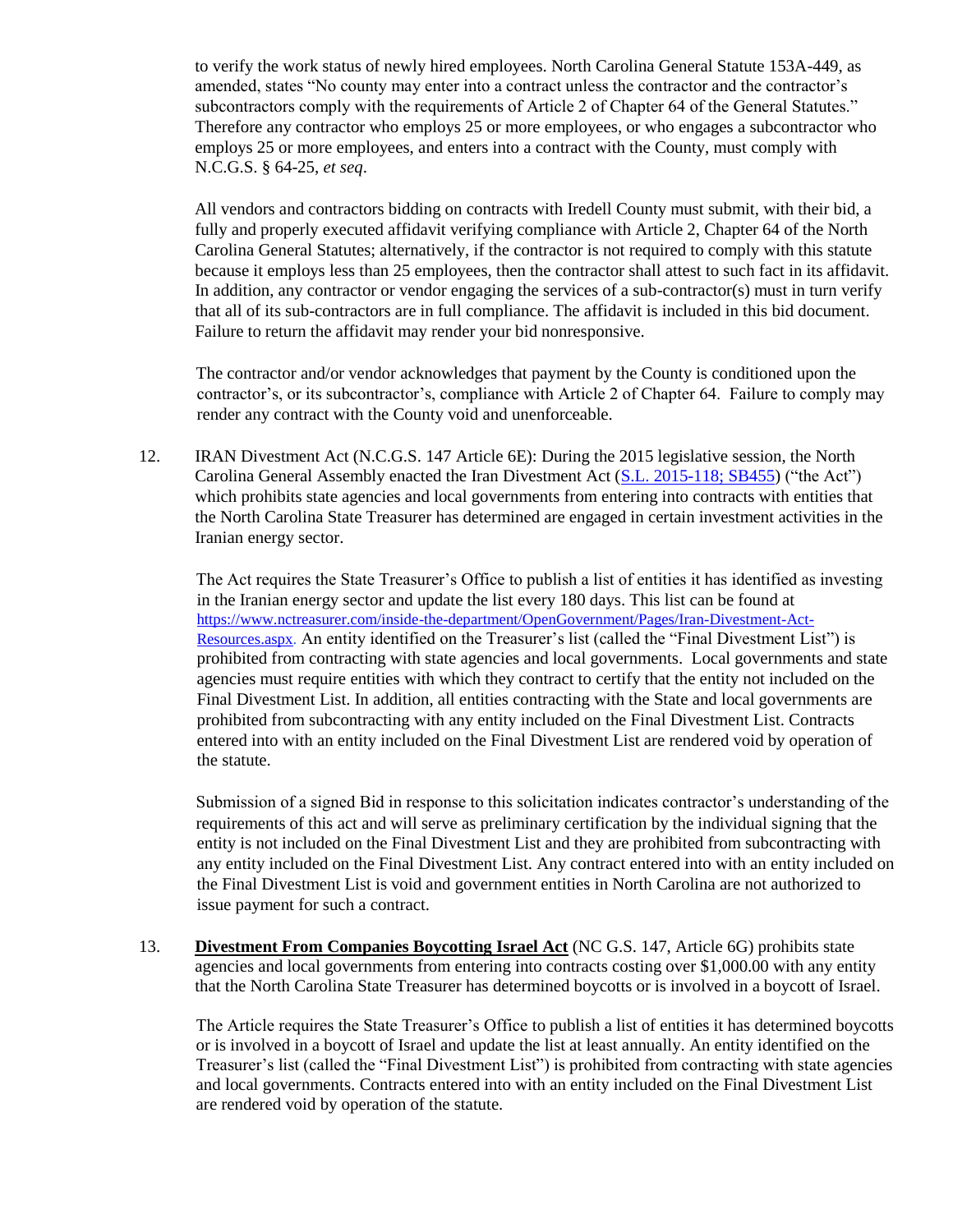to verify the work status of newly hired employees. North Carolina General Statute 153A-449, as amended, states "No county may enter into a contract unless the contractor and the contractor's subcontractors comply with the requirements of Article 2 of Chapter 64 of the General Statutes." Therefore any contractor who employs 25 or more employees, or who engages a subcontractor who employs 25 or more employees, and enters into a contract with the County, must comply with N.C.G.S. § 64-25, *et seq*.

 All vendors and contractors bidding on contracts with Iredell County must submit, with their bid, a fully and properly executed affidavit verifying compliance with Article 2, Chapter 64 of the North Carolina General Statutes; alternatively, if the contractor is not required to comply with this statute because it employs less than 25 employees, then the contractor shall attest to such fact in its affidavit. In addition, any contractor or vendor engaging the services of a sub-contractor(s) must in turn verify that all of its sub-contractors are in full compliance. The affidavit is included in this bid document. Failure to return the affidavit may render your bid nonresponsive.

The contractor and/or vendor acknowledges that payment by the County is conditioned upon the contractor's, or its subcontractor's, compliance with Article 2 of Chapter 64. Failure to comply may render any contract with the County void and unenforceable.

12. IRAN Divestment Act (N.C.G.S. 147 Article 6E): During the 2015 legislative session, the North Carolina General Assembly enacted the Iran Divestment Act [\(S.L. 2015-118; SB455\)](http://www.ncleg.net/Sessions/2015/Bills/Senate/HTML/S455v5.html) ("the Act") which prohibits state agencies and local governments from entering into contracts with entities that the North Carolina State Treasurer has determined are engaged in certain investment activities in the Iranian energy sector.

The Act requires the State Treasurer's Office to publish a list of entities it has identified as investing in the Iranian energy sector and update the list every 180 days. This list can be found at [https://www.nctreasurer.com/inside-the-department/OpenGovernment/Pages/Iran-Divestment-Act-](https://www.nctreasurer.com/inside-the-department/OpenGovernment/Pages/Iran-Divestment-Act-Resources.aspx)[Resources.aspx.](https://www.nctreasurer.com/inside-the-department/OpenGovernment/Pages/Iran-Divestment-Act-Resources.aspx) An entity identified on the Treasurer's list (called the "Final Divestment List") is prohibited from contracting with state agencies and local governments. Local governments and state agencies must require entities with which they contract to certify that the entity not included on the Final Divestment List. In addition, all entities contracting with the State and local governments are prohibited from subcontracting with any entity included on the Final Divestment List. Contracts entered into with an entity included on the Final Divestment List are rendered void by operation of the statute.

Submission of a signed Bid in response to this solicitation indicates contractor's understanding of the requirements of this act and will serve as preliminary certification by the individual signing that the entity is not included on the Final Divestment List and they are prohibited from subcontracting with any entity included on the Final Divestment List. Any contract entered into with an entity included on the Final Divestment List is void and government entities in North Carolina are not authorized to issue payment for such a contract.

13. **Divestment From Companies Boycotting Israel Act** (NC G.S. 147, Article 6G) prohibits state agencies and local governments from entering into contracts costing over \$1,000.00 with any entity that the North Carolina State Treasurer has determined boycotts or is involved in a boycott of Israel.

The Article requires the State Treasurer's Office to publish a list of entities it has determined boycotts or is involved in a boycott of Israel and update the list at least annually. An entity identified on the Treasurer's list (called the "Final Divestment List") is prohibited from contracting with state agencies and local governments. Contracts entered into with an entity included on the Final Divestment List are rendered void by operation of the statute.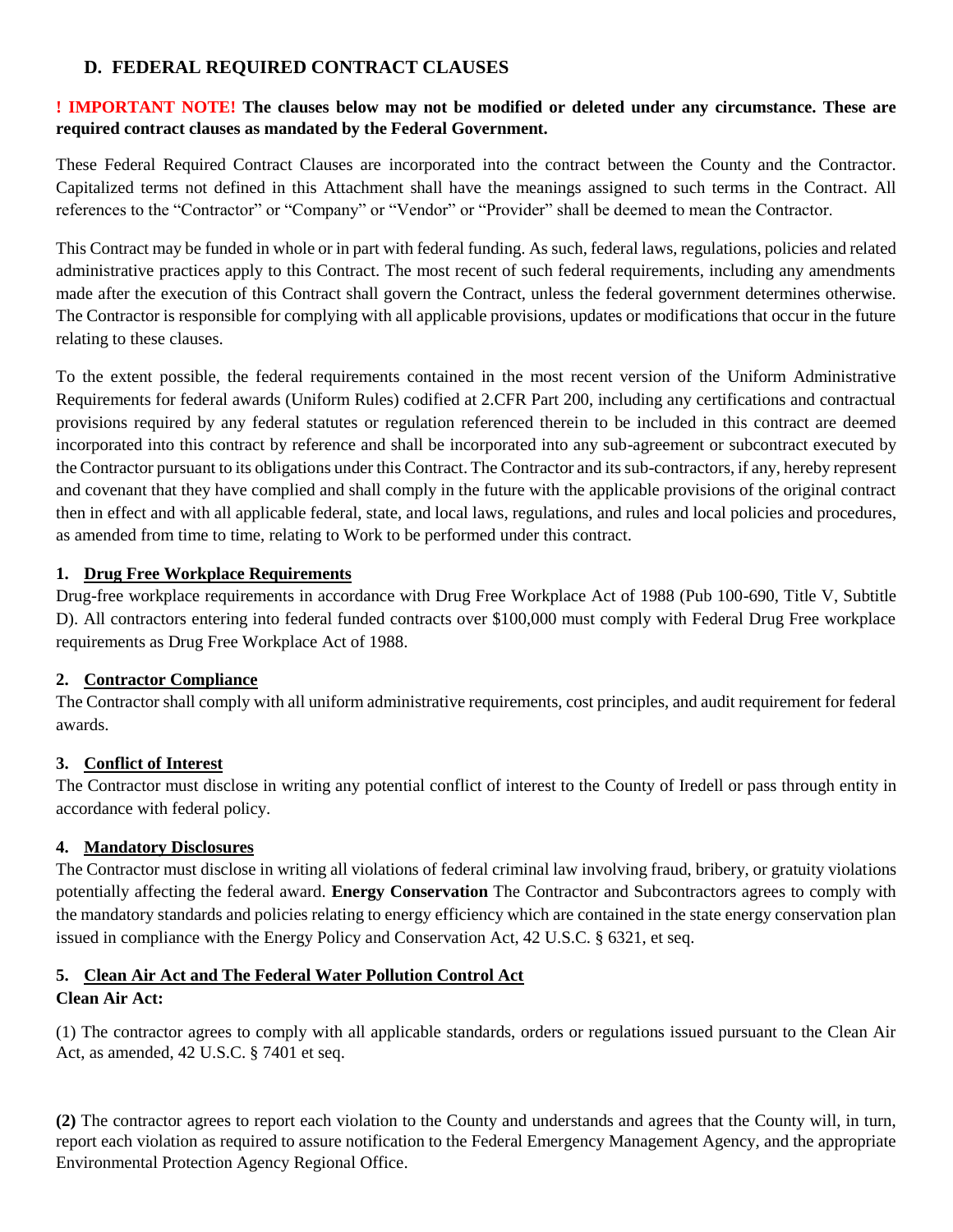### **D. FEDERAL REQUIRED CONTRACT CLAUSES**

#### **! IMPORTANT NOTE! The clauses below may not be modified or deleted under any circumstance. These are required contract clauses as mandated by the Federal Government.**

These Federal Required Contract Clauses are incorporated into the contract between the County and the Contractor. Capitalized terms not defined in this Attachment shall have the meanings assigned to such terms in the Contract. All references to the "Contractor" or "Company" or "Vendor" or "Provider" shall be deemed to mean the Contractor.

This Contract may be funded in whole or in part with federal funding. As such, federal laws, regulations, policies and related administrative practices apply to this Contract. The most recent of such federal requirements, including any amendments made after the execution of this Contract shall govern the Contract, unless the federal government determines otherwise. The Contractor is responsible for complying with all applicable provisions, updates or modifications that occur in the future relating to these clauses.

To the extent possible, the federal requirements contained in the most recent version of the Uniform Administrative Requirements for federal awards (Uniform Rules) codified at 2.CFR Part 200, including any certifications and contractual provisions required by any federal statutes or regulation referenced therein to be included in this contract are deemed incorporated into this contract by reference and shall be incorporated into any sub-agreement or subcontract executed by the Contractor pursuant to its obligations under this Contract. The Contractor and its sub-contractors, if any, hereby represent and covenant that they have complied and shall comply in the future with the applicable provisions of the original contract then in effect and with all applicable federal, state, and local laws, regulations, and rules and local policies and procedures, as amended from time to time, relating to Work to be performed under this contract.

#### **1. Drug Free Workplace Requirements**

Drug-free workplace requirements in accordance with Drug Free Workplace Act of 1988 (Pub 100-690, Title V, Subtitle D). All contractors entering into federal funded contracts over \$100,000 must comply with Federal Drug Free workplace requirements as Drug Free Workplace Act of 1988.

#### **2. Contractor Compliance**

The Contractor shall comply with all uniform administrative requirements, cost principles, and audit requirement for federal awards.

#### **3. Conflict of Interest**

The Contractor must disclose in writing any potential conflict of interest to the County of Iredell or pass through entity in accordance with federal policy.

#### **4. Mandatory Disclosures**

The Contractor must disclose in writing all violations of federal criminal law involving fraud, bribery, or gratuity violations potentially affecting the federal award. **Energy Conservation** The Contractor and Subcontractors agrees to comply with the mandatory standards and policies relating to energy efficiency which are contained in the state energy conservation plan issued in compliance with the Energy Policy and Conservation Act, 42 U.S.C. § 6321, et seq.

#### **5. Clean Air Act and The Federal Water Pollution Control Act**

#### **Clean Air Act:**

(1) The contractor agrees to comply with all applicable standards, orders or regulations issued pursuant to the Clean Air Act, as amended, 42 U.S.C. § 7401 et seq.

**(2)** The contractor agrees to report each violation to the County and understands and agrees that the County will, in turn, report each violation as required to assure notification to the Federal Emergency Management Agency, and the appropriate Environmental Protection Agency Regional Office.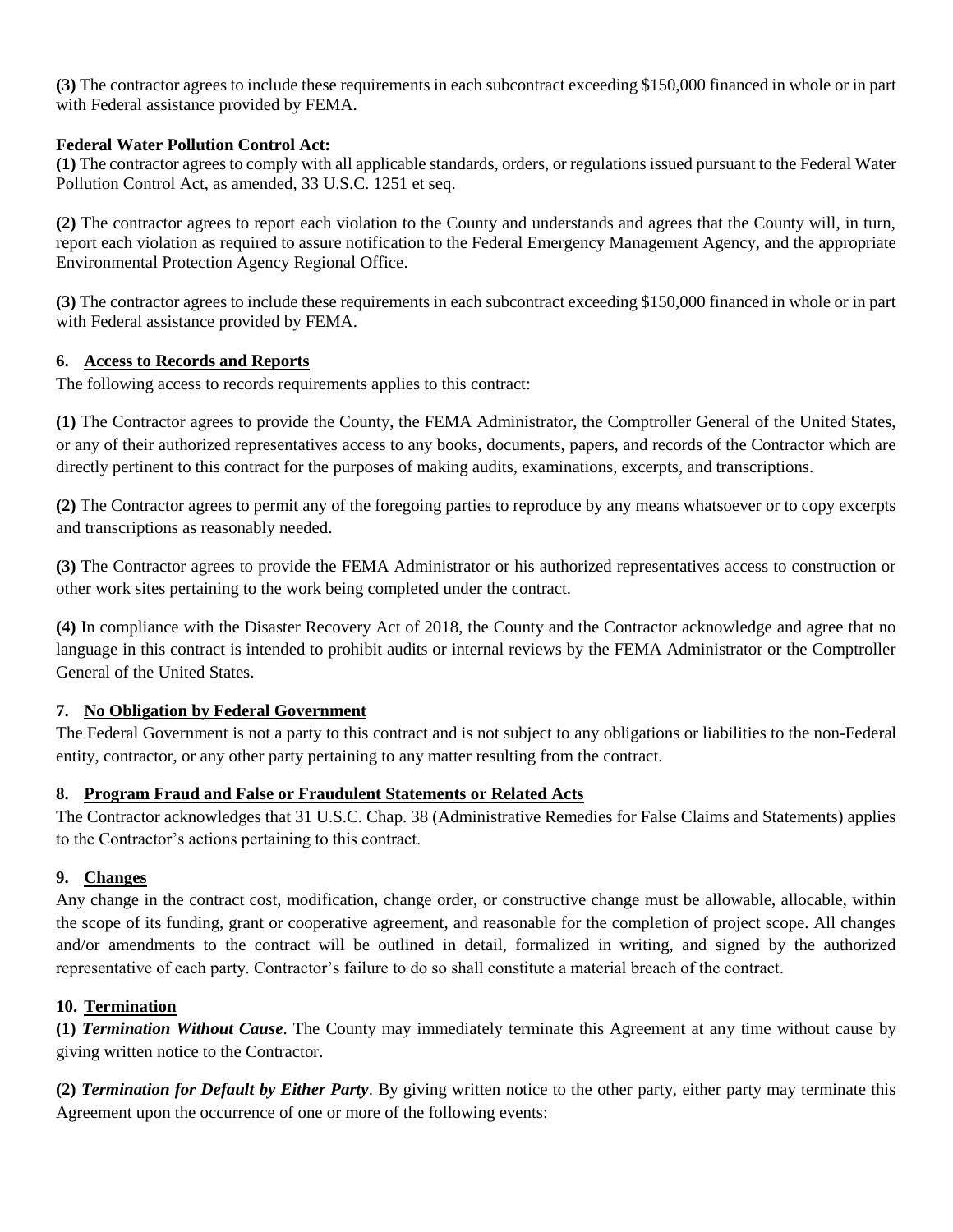**(3)** The contractor agrees to include these requirements in each subcontract exceeding \$150,000 financed in whole or in part with Federal assistance provided by FEMA.

#### **Federal Water Pollution Control Act:**

**(1)** The contractor agrees to comply with all applicable standards, orders, or regulations issued pursuant to the Federal Water Pollution Control Act, as amended, 33 U.S.C. 1251 et seq.

**(2)** The contractor agrees to report each violation to the County and understands and agrees that the County will, in turn, report each violation as required to assure notification to the Federal Emergency Management Agency, and the appropriate Environmental Protection Agency Regional Office.

**(3)** The contractor agrees to include these requirements in each subcontract exceeding \$150,000 financed in whole or in part with Federal assistance provided by FEMA.

#### **6. Access to Records and Reports**

The following access to records requirements applies to this contract:

**(1)** The Contractor agrees to provide the County, the FEMA Administrator, the Comptroller General of the United States, or any of their authorized representatives access to any books, documents, papers, and records of the Contractor which are directly pertinent to this contract for the purposes of making audits, examinations, excerpts, and transcriptions.

**(2)** The Contractor agrees to permit any of the foregoing parties to reproduce by any means whatsoever or to copy excerpts and transcriptions as reasonably needed.

**(3)** The Contractor agrees to provide the FEMA Administrator or his authorized representatives access to construction or other work sites pertaining to the work being completed under the contract.

**(4)** In compliance with the Disaster Recovery Act of 2018, the County and the Contractor acknowledge and agree that no language in this contract is intended to prohibit audits or internal reviews by the FEMA Administrator or the Comptroller General of the United States.

#### **7. No Obligation by Federal Government**

The Federal Government is not a party to this contract and is not subject to any obligations or liabilities to the non-Federal entity, contractor, or any other party pertaining to any matter resulting from the contract.

#### **8. Program Fraud and False or Fraudulent Statements or Related Acts**

The Contractor acknowledges that 31 U.S.C. Chap. 38 (Administrative Remedies for False Claims and Statements) applies to the Contractor's actions pertaining to this contract.

#### **9. Changes**

Any change in the contract cost, modification, change order, or constructive change must be allowable, allocable, within the scope of its funding, grant or cooperative agreement, and reasonable for the completion of project scope. All changes and/or amendments to the contract will be outlined in detail, formalized in writing, and signed by the authorized representative of each party. Contractor's failure to do so shall constitute a material breach of the contract.

#### **10. Termination**

**(1)** *Termination Without Cause*. The County may immediately terminate this Agreement at any time without cause by giving written notice to the Contractor.

**(2)** *Termination for Default by Either Party*. By giving written notice to the other party, either party may terminate this Agreement upon the occurrence of one or more of the following events: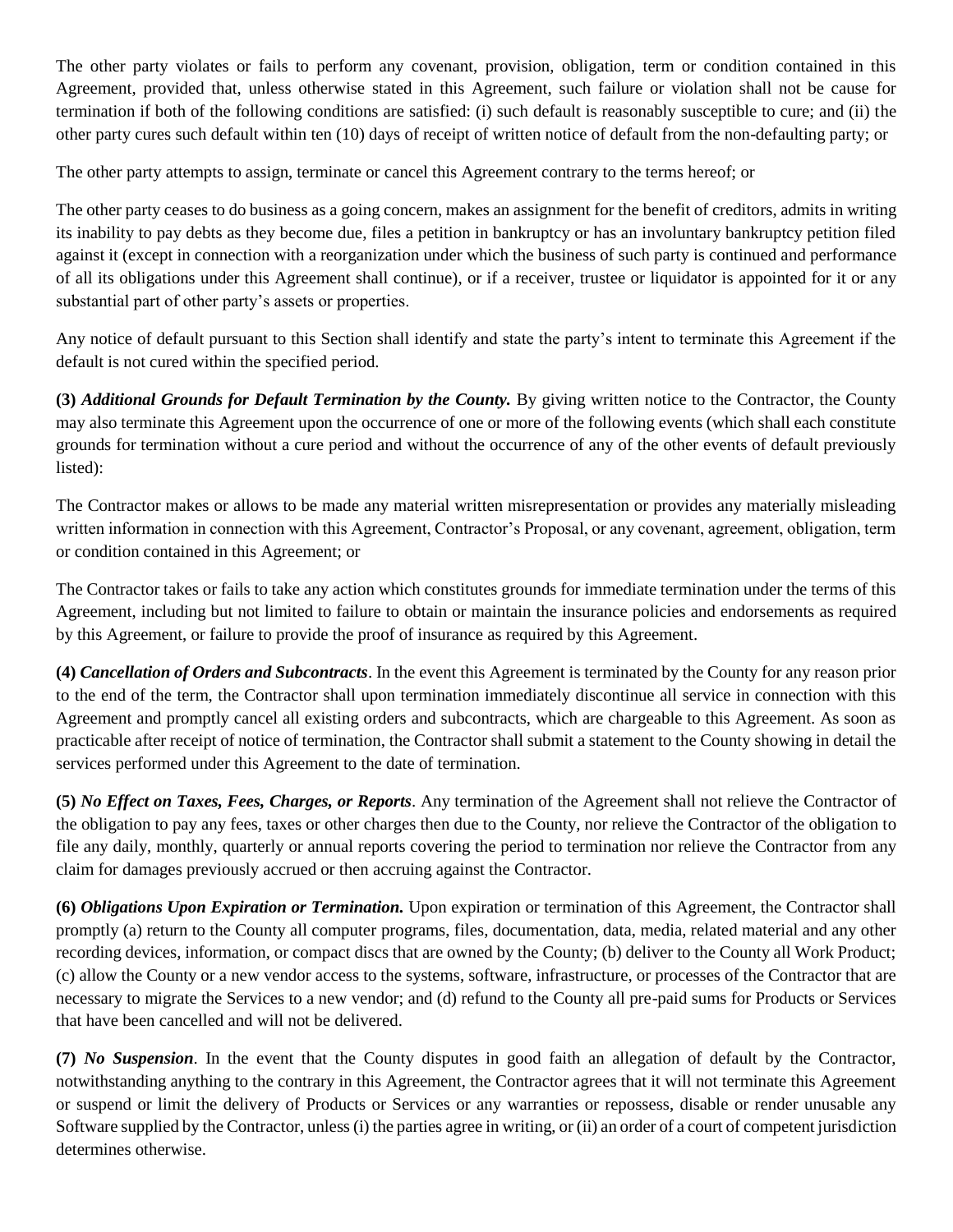The other party violates or fails to perform any covenant, provision, obligation, term or condition contained in this Agreement, provided that, unless otherwise stated in this Agreement, such failure or violation shall not be cause for termination if both of the following conditions are satisfied: (i) such default is reasonably susceptible to cure; and (ii) the other party cures such default within ten (10) days of receipt of written notice of default from the non-defaulting party; or

The other party attempts to assign, terminate or cancel this Agreement contrary to the terms hereof; or

The other party ceases to do business as a going concern, makes an assignment for the benefit of creditors, admits in writing its inability to pay debts as they become due, files a petition in bankruptcy or has an involuntary bankruptcy petition filed against it (except in connection with a reorganization under which the business of such party is continued and performance of all its obligations under this Agreement shall continue), or if a receiver, trustee or liquidator is appointed for it or any substantial part of other party's assets or properties.

Any notice of default pursuant to this Section shall identify and state the party's intent to terminate this Agreement if the default is not cured within the specified period.

**(3)** *Additional Grounds for Default Termination by the County.* By giving written notice to the Contractor, the County may also terminate this Agreement upon the occurrence of one or more of the following events (which shall each constitute grounds for termination without a cure period and without the occurrence of any of the other events of default previously listed):

The Contractor makes or allows to be made any material written misrepresentation or provides any materially misleading written information in connection with this Agreement, Contractor's Proposal, or any covenant, agreement, obligation, term or condition contained in this Agreement; or

The Contractor takes or fails to take any action which constitutes grounds for immediate termination under the terms of this Agreement, including but not limited to failure to obtain or maintain the insurance policies and endorsements as required by this Agreement, or failure to provide the proof of insurance as required by this Agreement.

**(4)** *Cancellation of Orders and Subcontracts*. In the event this Agreement is terminated by the County for any reason prior to the end of the term, the Contractor shall upon termination immediately discontinue all service in connection with this Agreement and promptly cancel all existing orders and subcontracts, which are chargeable to this Agreement. As soon as practicable after receipt of notice of termination, the Contractor shall submit a statement to the County showing in detail the services performed under this Agreement to the date of termination.

**(5)** *No Effect on Taxes, Fees, Charges, or Reports*. Any termination of the Agreement shall not relieve the Contractor of the obligation to pay any fees, taxes or other charges then due to the County, nor relieve the Contractor of the obligation to file any daily, monthly, quarterly or annual reports covering the period to termination nor relieve the Contractor from any claim for damages previously accrued or then accruing against the Contractor.

**(6)** *Obligations Upon Expiration or Termination.* Upon expiration or termination of this Agreement, the Contractor shall promptly (a) return to the County all computer programs, files, documentation, data, media, related material and any other recording devices, information, or compact discs that are owned by the County; (b) deliver to the County all Work Product; (c) allow the County or a new vendor access to the systems, software, infrastructure, or processes of the Contractor that are necessary to migrate the Services to a new vendor; and (d) refund to the County all pre-paid sums for Products or Services that have been cancelled and will not be delivered.

**(7)** *No Suspension*. In the event that the County disputes in good faith an allegation of default by the Contractor, notwithstanding anything to the contrary in this Agreement, the Contractor agrees that it will not terminate this Agreement or suspend or limit the delivery of Products or Services or any warranties or repossess, disable or render unusable any Software supplied by the Contractor, unless (i) the parties agree in writing, or (ii) an order of a court of competent jurisdiction determines otherwise.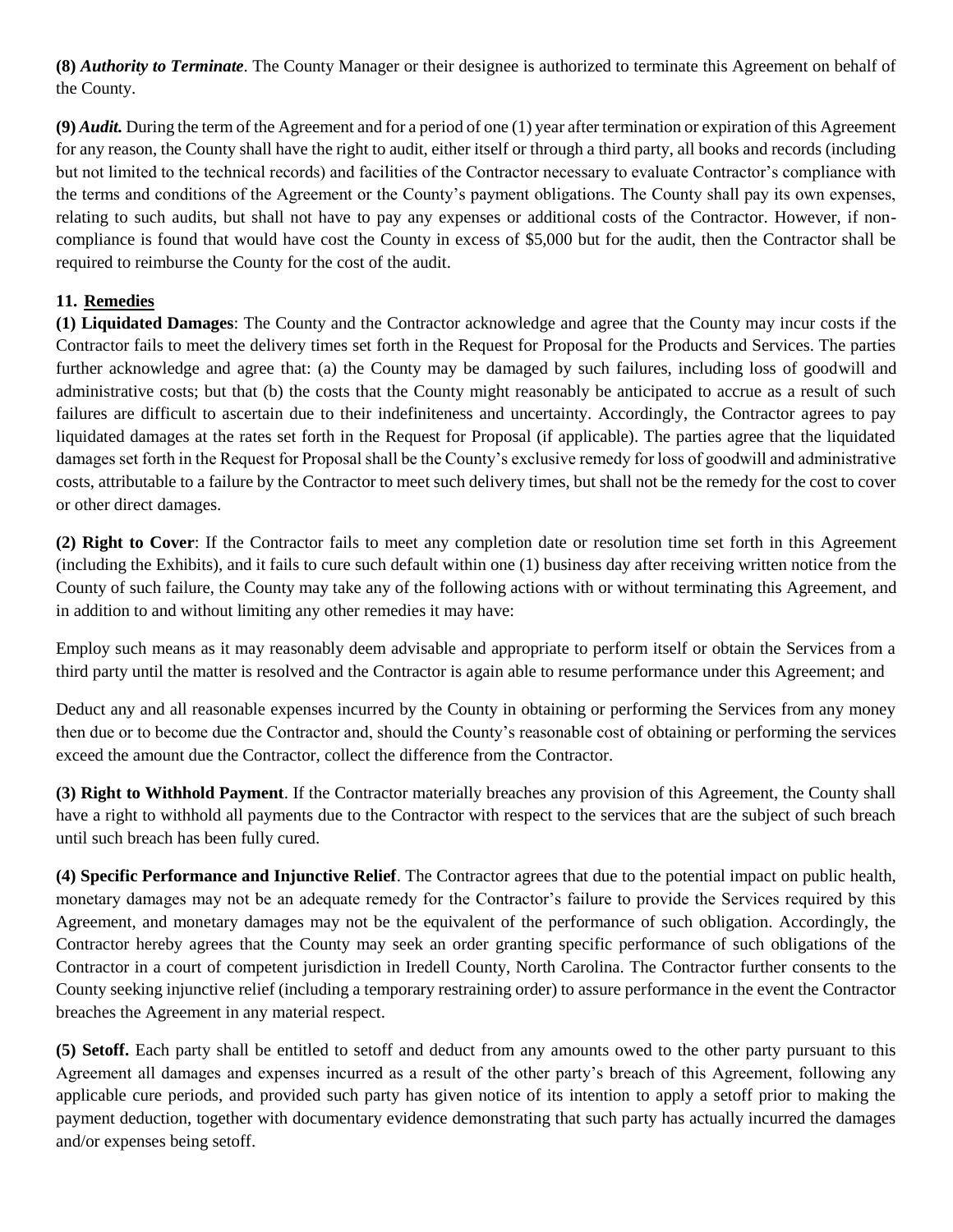**(8)** *Authority to Terminate*. The County Manager or their designee is authorized to terminate this Agreement on behalf of the County.

**(9)** *Audit.* During the term of the Agreement and for a period of one (1) year after termination or expiration of this Agreement for any reason, the County shall have the right to audit, either itself or through a third party, all books and records (including but not limited to the technical records) and facilities of the Contractor necessary to evaluate Contractor's compliance with the terms and conditions of the Agreement or the County's payment obligations. The County shall pay its own expenses, relating to such audits, but shall not have to pay any expenses or additional costs of the Contractor. However, if noncompliance is found that would have cost the County in excess of \$5,000 but for the audit, then the Contractor shall be required to reimburse the County for the cost of the audit.

#### **11. Remedies**

**(1) Liquidated Damages**: The County and the Contractor acknowledge and agree that the County may incur costs if the Contractor fails to meet the delivery times set forth in the Request for Proposal for the Products and Services. The parties further acknowledge and agree that: (a) the County may be damaged by such failures, including loss of goodwill and administrative costs; but that (b) the costs that the County might reasonably be anticipated to accrue as a result of such failures are difficult to ascertain due to their indefiniteness and uncertainty. Accordingly, the Contractor agrees to pay liquidated damages at the rates set forth in the Request for Proposal (if applicable). The parties agree that the liquidated damages set forth in the Request for Proposal shall be the County's exclusive remedy for loss of goodwill and administrative costs, attributable to a failure by the Contractor to meet such delivery times, but shall not be the remedy for the cost to cover or other direct damages.

**(2) Right to Cover**: If the Contractor fails to meet any completion date or resolution time set forth in this Agreement (including the Exhibits), and it fails to cure such default within one (1) business day after receiving written notice from the County of such failure, the County may take any of the following actions with or without terminating this Agreement, and in addition to and without limiting any other remedies it may have:

Employ such means as it may reasonably deem advisable and appropriate to perform itself or obtain the Services from a third party until the matter is resolved and the Contractor is again able to resume performance under this Agreement; and

Deduct any and all reasonable expenses incurred by the County in obtaining or performing the Services from any money then due or to become due the Contractor and, should the County's reasonable cost of obtaining or performing the services exceed the amount due the Contractor, collect the difference from the Contractor.

**(3) Right to Withhold Payment**. If the Contractor materially breaches any provision of this Agreement, the County shall have a right to withhold all payments due to the Contractor with respect to the services that are the subject of such breach until such breach has been fully cured.

**(4) Specific Performance and Injunctive Relief**. The Contractor agrees that due to the potential impact on public health, monetary damages may not be an adequate remedy for the Contractor's failure to provide the Services required by this Agreement, and monetary damages may not be the equivalent of the performance of such obligation. Accordingly, the Contractor hereby agrees that the County may seek an order granting specific performance of such obligations of the Contractor in a court of competent jurisdiction in Iredell County, North Carolina. The Contractor further consents to the County seeking injunctive relief (including a temporary restraining order) to assure performance in the event the Contractor breaches the Agreement in any material respect.

**(5) Setoff.** Each party shall be entitled to setoff and deduct from any amounts owed to the other party pursuant to this Agreement all damages and expenses incurred as a result of the other party's breach of this Agreement, following any applicable cure periods, and provided such party has given notice of its intention to apply a setoff prior to making the payment deduction, together with documentary evidence demonstrating that such party has actually incurred the damages and/or expenses being setoff.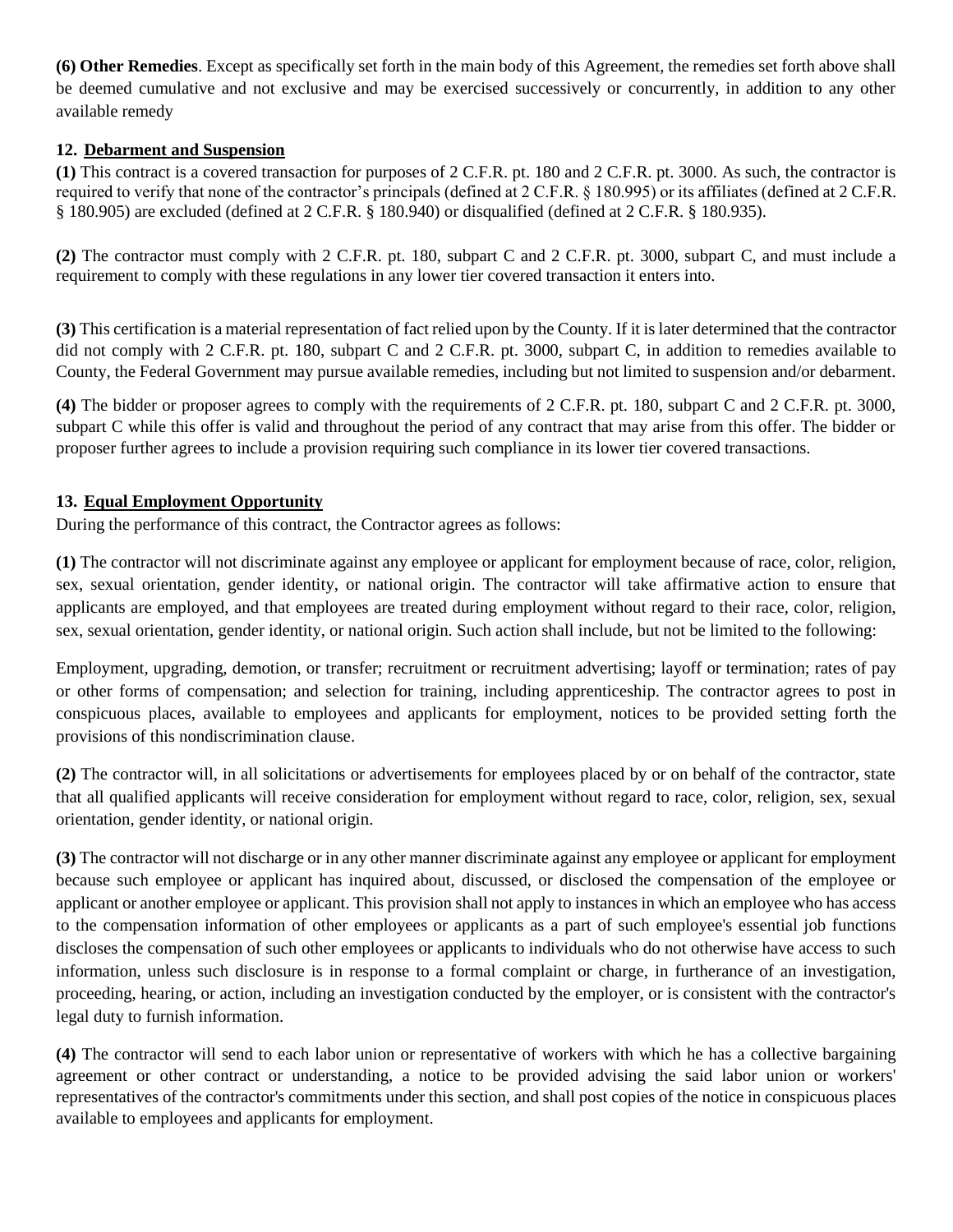**(6) Other Remedies**. Except as specifically set forth in the main body of this Agreement, the remedies set forth above shall be deemed cumulative and not exclusive and may be exercised successively or concurrently, in addition to any other available remedy

#### **12. Debarment and Suspension**

**(1)** This contract is a covered transaction for purposes of 2 C.F.R. pt. 180 and 2 C.F.R. pt. 3000. As such, the contractor is required to verify that none of the contractor's principals (defined at 2 C.F.R. § 180.995) or its affiliates (defined at 2 C.F.R. § 180.905) are excluded (defined at 2 C.F.R. § 180.940) or disqualified (defined at 2 C.F.R. § 180.935).

**(2)** The contractor must comply with 2 C.F.R. pt. 180, subpart C and 2 C.F.R. pt. 3000, subpart C, and must include a requirement to comply with these regulations in any lower tier covered transaction it enters into.

**(3)** This certification is a material representation of fact relied upon by the County. If it is later determined that the contractor did not comply with 2 C.F.R. pt. 180, subpart C and 2 C.F.R. pt. 3000, subpart C, in addition to remedies available to County, the Federal Government may pursue available remedies, including but not limited to suspension and/or debarment.

**(4)** The bidder or proposer agrees to comply with the requirements of 2 C.F.R. pt. 180, subpart C and 2 C.F.R. pt. 3000, subpart C while this offer is valid and throughout the period of any contract that may arise from this offer. The bidder or proposer further agrees to include a provision requiring such compliance in its lower tier covered transactions.

#### **13. Equal Employment Opportunity**

During the performance of this contract, the Contractor agrees as follows:

**(1)** The contractor will not discriminate against any employee or applicant for employment because of race, color, religion, sex, sexual orientation, gender identity, or national origin. The contractor will take affirmative action to ensure that applicants are employed, and that employees are treated during employment without regard to their race, color, religion, sex, sexual orientation, gender identity, or national origin. Such action shall include, but not be limited to the following:

Employment, upgrading, demotion, or transfer; recruitment or recruitment advertising; layoff or termination; rates of pay or other forms of compensation; and selection for training, including apprenticeship. The contractor agrees to post in conspicuous places, available to employees and applicants for employment, notices to be provided setting forth the provisions of this nondiscrimination clause.

**(2)** The contractor will, in all solicitations or advertisements for employees placed by or on behalf of the contractor, state that all qualified applicants will receive consideration for employment without regard to race, color, religion, sex, sexual orientation, gender identity, or national origin.

**(3)** The contractor will not discharge or in any other manner discriminate against any employee or applicant for employment because such employee or applicant has inquired about, discussed, or disclosed the compensation of the employee or applicant or another employee or applicant. This provision shall not apply to instances in which an employee who has access to the compensation information of other employees or applicants as a part of such employee's essential job functions discloses the compensation of such other employees or applicants to individuals who do not otherwise have access to such information, unless such disclosure is in response to a formal complaint or charge, in furtherance of an investigation, proceeding, hearing, or action, including an investigation conducted by the employer, or is consistent with the contractor's legal duty to furnish information.

**(4)** The contractor will send to each labor union or representative of workers with which he has a collective bargaining agreement or other contract or understanding, a notice to be provided advising the said labor union or workers' representatives of the contractor's commitments under this section, and shall post copies of the notice in conspicuous places available to employees and applicants for employment.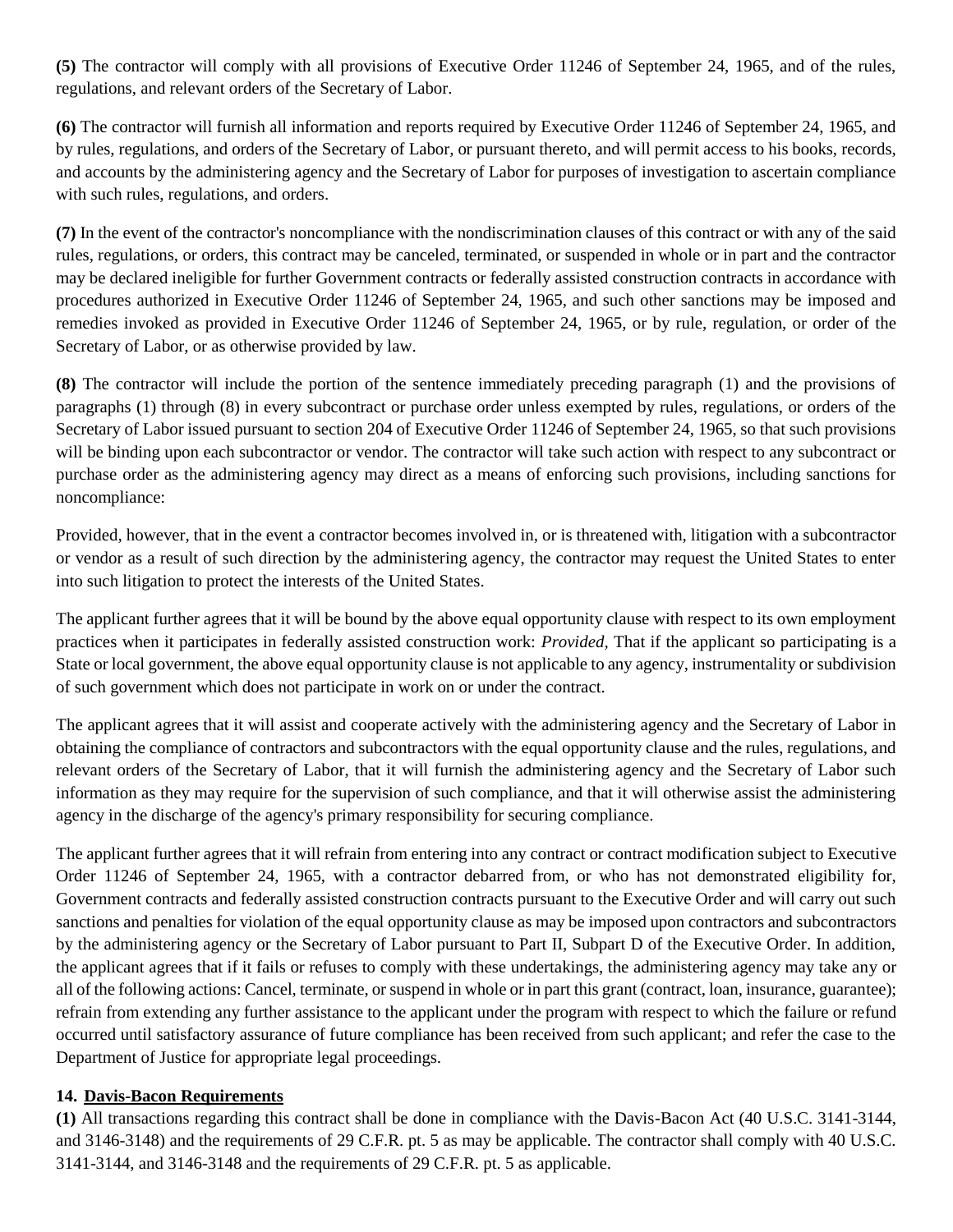**(5)** The contractor will comply with all provisions of Executive Order 11246 of September 24, 1965, and of the rules, regulations, and relevant orders of the Secretary of Labor.

**(6)** The contractor will furnish all information and reports required by Executive Order 11246 of September 24, 1965, and by rules, regulations, and orders of the Secretary of Labor, or pursuant thereto, and will permit access to his books, records, and accounts by the administering agency and the Secretary of Labor for purposes of investigation to ascertain compliance with such rules, regulations, and orders.

**(7)** In the event of the contractor's noncompliance with the nondiscrimination clauses of this contract or with any of the said rules, regulations, or orders, this contract may be canceled, terminated, or suspended in whole or in part and the contractor may be declared ineligible for further Government contracts or federally assisted construction contracts in accordance with procedures authorized in Executive Order 11246 of September 24, 1965, and such other sanctions may be imposed and remedies invoked as provided in Executive Order 11246 of September 24, 1965, or by rule, regulation, or order of the Secretary of Labor, or as otherwise provided by law.

**(8)** The contractor will include the portion of the sentence immediately preceding paragraph (1) and the provisions of paragraphs (1) through (8) in every subcontract or purchase order unless exempted by rules, regulations, or orders of the Secretary of Labor issued pursuant to section 204 of Executive Order 11246 of September 24, 1965, so that such provisions will be binding upon each subcontractor or vendor. The contractor will take such action with respect to any subcontract or purchase order as the administering agency may direct as a means of enforcing such provisions, including sanctions for noncompliance:

Provided*,* however, that in the event a contractor becomes involved in, or is threatened with, litigation with a subcontractor or vendor as a result of such direction by the administering agency, the contractor may request the United States to enter into such litigation to protect the interests of the United States.

The applicant further agrees that it will be bound by the above equal opportunity clause with respect to its own employment practices when it participates in federally assisted construction work: *Provided,* That if the applicant so participating is a State or local government, the above equal opportunity clause is not applicable to any agency, instrumentality or subdivision of such government which does not participate in work on or under the contract.

The applicant agrees that it will assist and cooperate actively with the administering agency and the Secretary of Labor in obtaining the compliance of contractors and subcontractors with the equal opportunity clause and the rules, regulations, and relevant orders of the Secretary of Labor, that it will furnish the administering agency and the Secretary of Labor such information as they may require for the supervision of such compliance, and that it will otherwise assist the administering agency in the discharge of the agency's primary responsibility for securing compliance.

The applicant further agrees that it will refrain from entering into any contract or contract modification subject to Executive Order 11246 of September 24, 1965, with a contractor debarred from, or who has not demonstrated eligibility for, Government contracts and federally assisted construction contracts pursuant to the Executive Order and will carry out such sanctions and penalties for violation of the equal opportunity clause as may be imposed upon contractors and subcontractors by the administering agency or the Secretary of Labor pursuant to Part II, Subpart D of the Executive Order. In addition, the applicant agrees that if it fails or refuses to comply with these undertakings, the administering agency may take any or all of the following actions: Cancel, terminate, or suspend in whole or in part this grant (contract, loan, insurance, guarantee); refrain from extending any further assistance to the applicant under the program with respect to which the failure or refund occurred until satisfactory assurance of future compliance has been received from such applicant; and refer the case to the Department of Justice for appropriate legal proceedings.

#### **14. Davis-Bacon Requirements**

**(1)** All transactions regarding this contract shall be done in compliance with the Davis-Bacon Act (40 U.S.C. 3141-3144, and 3146-3148) and the requirements of 29 C.F.R. pt. 5 as may be applicable. The contractor shall comply with 40 U.S.C. 3141-3144, and 3146-3148 and the requirements of 29 C.F.R. pt. 5 as applicable.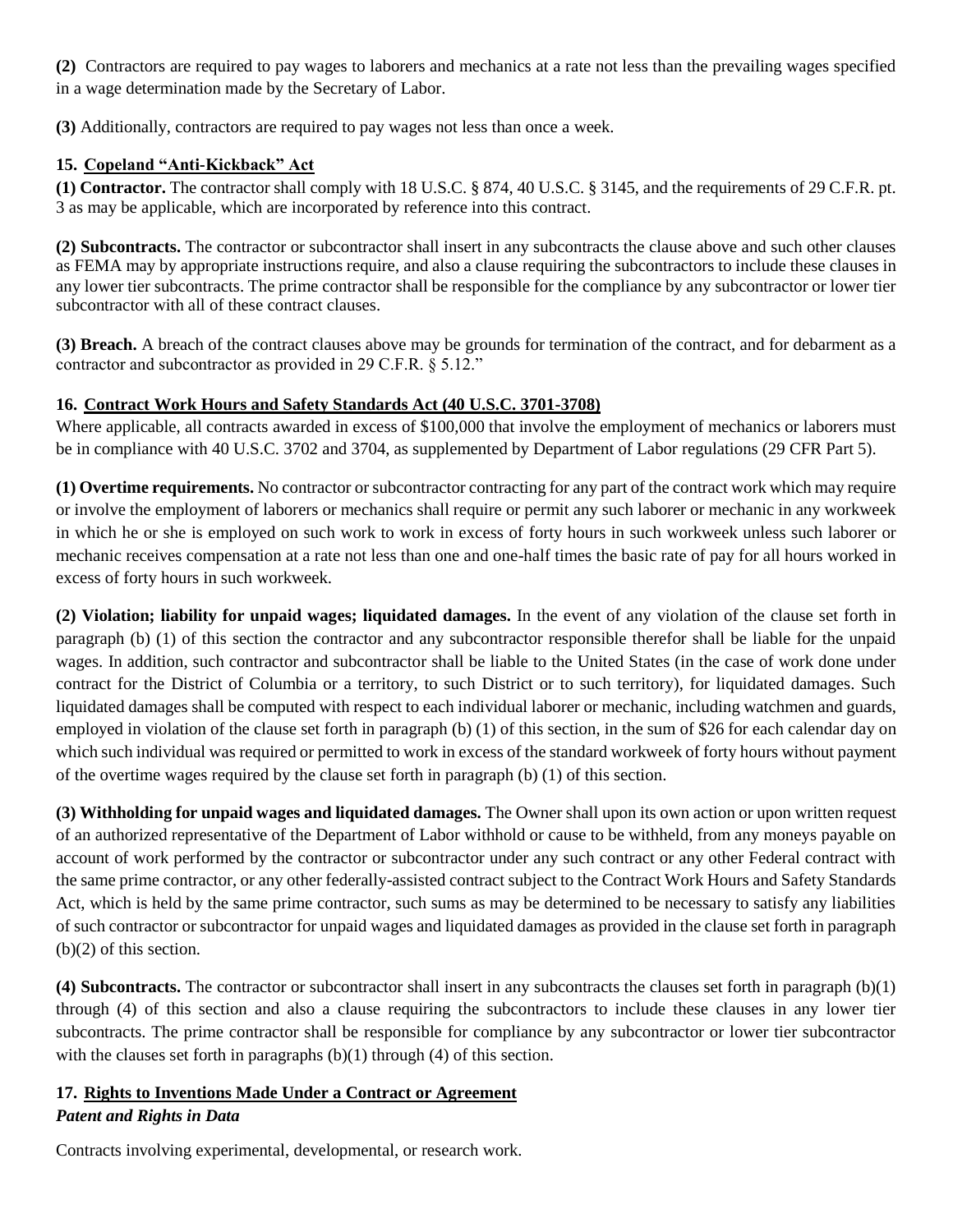**(2)** Contractors are required to pay wages to laborers and mechanics at a rate not less than the prevailing wages specified in a wage determination made by the Secretary of Labor.

**(3)** Additionally, contractors are required to pay wages not less than once a week.

#### **15. Copeland "Anti-Kickback" Act**

**(1) Contractor.** The contractor shall comply with 18 U.S.C. § 874, 40 U.S.C. § 3145, and the requirements of 29 C.F.R. pt. 3 as may be applicable, which are incorporated by reference into this contract.

**(2) Subcontracts.** The contractor or subcontractor shall insert in any subcontracts the clause above and such other clauses as FEMA may by appropriate instructions require, and also a clause requiring the subcontractors to include these clauses in any lower tier subcontracts. The prime contractor shall be responsible for the compliance by any subcontractor or lower tier subcontractor with all of these contract clauses.

**(3) Breach.** A breach of the contract clauses above may be grounds for termination of the contract, and for debarment as a contractor and subcontractor as provided in 29 C.F.R. § 5.12."

#### **16. Contract Work Hours and Safety Standards Act (40 U.S.C. 3701-3708)**

Where applicable, all contracts awarded in excess of \$100,000 that involve the employment of mechanics or laborers must be in compliance with 40 U.S.C. 3702 and 3704, as supplemented by Department of Labor regulations (29 CFR Part 5).

**(1) Overtime requirements.** No contractor or subcontractor contracting for any part of the contract work which may require or involve the employment of laborers or mechanics shall require or permit any such laborer or mechanic in any workweek in which he or she is employed on such work to work in excess of forty hours in such workweek unless such laborer or mechanic receives compensation at a rate not less than one and one-half times the basic rate of pay for all hours worked in excess of forty hours in such workweek.

**(2) Violation; liability for unpaid wages; liquidated damages.** In the event of any violation of the clause set forth in paragraph (b) (1) of this section the contractor and any subcontractor responsible therefor shall be liable for the unpaid wages. In addition, such contractor and subcontractor shall be liable to the United States (in the case of work done under contract for the District of Columbia or a territory, to such District or to such territory), for liquidated damages. Such liquidated damages shall be computed with respect to each individual laborer or mechanic, including watchmen and guards, employed in violation of the clause set forth in paragraph (b) (1) of this section, in the sum of \$26 for each calendar day on which such individual was required or permitted to work in excess of the standard workweek of forty hours without payment of the overtime wages required by the clause set forth in paragraph  $(b)$  (1) of this section.

**(3) Withholding for unpaid wages and liquidated damages.** The Owner shall upon its own action or upon written request of an authorized representative of the Department of Labor withhold or cause to be withheld, from any moneys payable on account of work performed by the contractor or subcontractor under any such contract or any other Federal contract with the same prime contractor, or any other federally-assisted contract subject to the Contract Work Hours and Safety Standards Act, which is held by the same prime contractor, such sums as may be determined to be necessary to satisfy any liabilities of such contractor or subcontractor for unpaid wages and liquidated damages as provided in the clause set forth in paragraph (b)(2) of this section.

**(4) Subcontracts.** The contractor or subcontractor shall insert in any subcontracts the clauses set forth in paragraph (b)(1) through (4) of this section and also a clause requiring the subcontractors to include these clauses in any lower tier subcontracts. The prime contractor shall be responsible for compliance by any subcontractor or lower tier subcontractor with the clauses set forth in paragraphs  $(b)(1)$  through  $(4)$  of this section.

#### **17. Rights to Inventions Made Under a Contract or Agreement**  *Patent and Rights in Data*

Contracts involving experimental, developmental, or research work.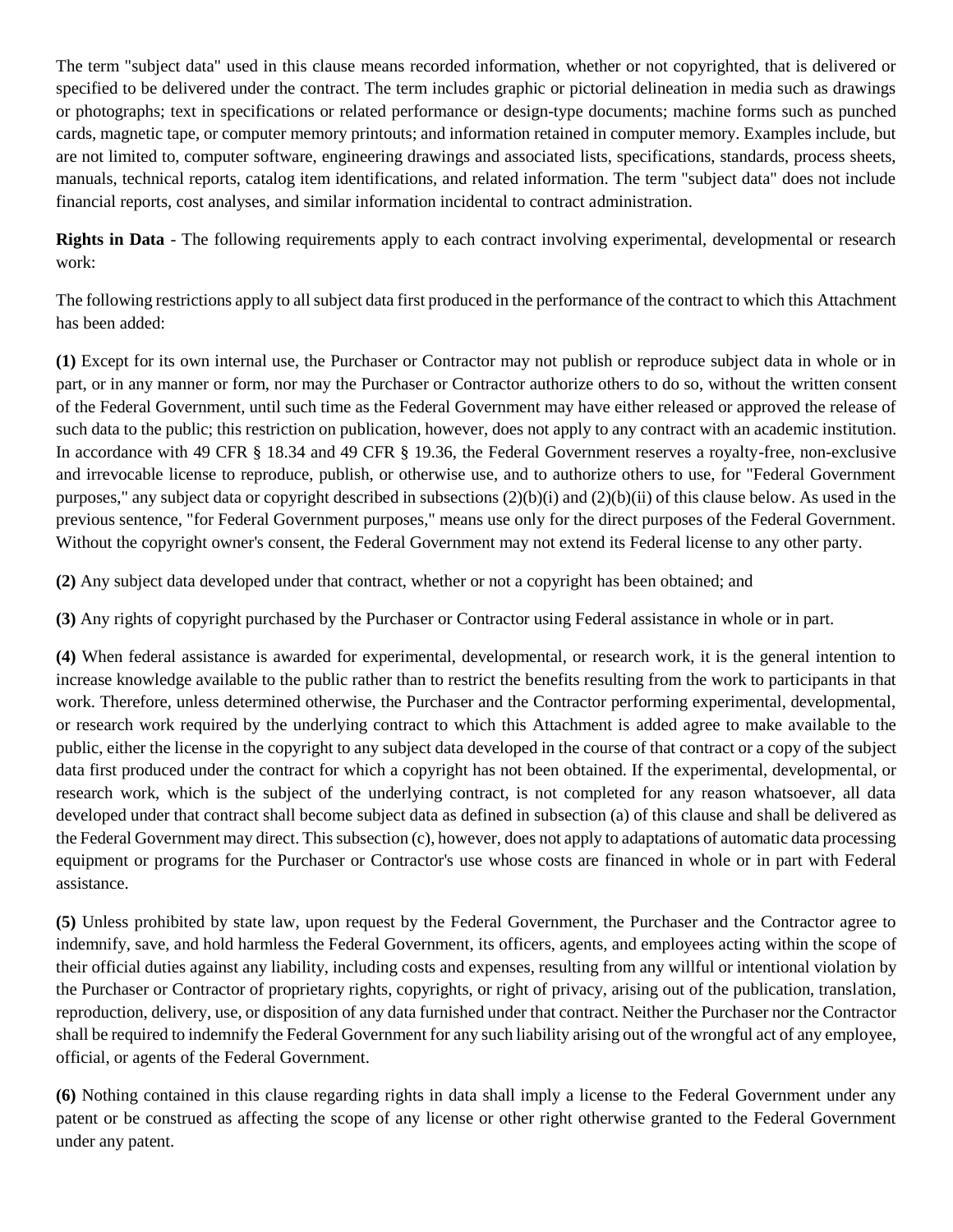The term "subject data" used in this clause means recorded information, whether or not copyrighted, that is delivered or specified to be delivered under the contract. The term includes graphic or pictorial delineation in media such as drawings or photographs; text in specifications or related performance or design-type documents; machine forms such as punched cards, magnetic tape, or computer memory printouts; and information retained in computer memory. Examples include, but are not limited to, computer software, engineering drawings and associated lists, specifications, standards, process sheets, manuals, technical reports, catalog item identifications, and related information. The term "subject data" does not include financial reports, cost analyses, and similar information incidental to contract administration.

**Rights in Data** - The following requirements apply to each contract involving experimental, developmental or research work:

The following restrictions apply to all subject data first produced in the performance of the contract to which this Attachment has been added:

**(1)** Except for its own internal use, the Purchaser or Contractor may not publish or reproduce subject data in whole or in part, or in any manner or form, nor may the Purchaser or Contractor authorize others to do so, without the written consent of the Federal Government, until such time as the Federal Government may have either released or approved the release of such data to the public; this restriction on publication, however, does not apply to any contract with an academic institution. In accordance with 49 CFR § 18.34 and 49 CFR § 19.36, the Federal Government reserves a royalty-free, non-exclusive and irrevocable license to reproduce, publish, or otherwise use, and to authorize others to use, for "Federal Government purposes," any subject data or copyright described in subsections  $(2)(b)(i)$  and  $(2)(b)(ii)$  of this clause below. As used in the previous sentence, "for Federal Government purposes," means use only for the direct purposes of the Federal Government. Without the copyright owner's consent, the Federal Government may not extend its Federal license to any other party.

**(2)** Any subject data developed under that contract, whether or not a copyright has been obtained; and

**(3)** Any rights of copyright purchased by the Purchaser or Contractor using Federal assistance in whole or in part.

**(4)** When federal assistance is awarded for experimental, developmental, or research work, it is the general intention to increase knowledge available to the public rather than to restrict the benefits resulting from the work to participants in that work. Therefore, unless determined otherwise, the Purchaser and the Contractor performing experimental, developmental, or research work required by the underlying contract to which this Attachment is added agree to make available to the public, either the license in the copyright to any subject data developed in the course of that contract or a copy of the subject data first produced under the contract for which a copyright has not been obtained. If the experimental, developmental, or research work, which is the subject of the underlying contract, is not completed for any reason whatsoever, all data developed under that contract shall become subject data as defined in subsection (a) of this clause and shall be delivered as the Federal Government may direct. This subsection (c), however, does not apply to adaptations of automatic data processing equipment or programs for the Purchaser or Contractor's use whose costs are financed in whole or in part with Federal assistance.

**(5)** Unless prohibited by state law, upon request by the Federal Government, the Purchaser and the Contractor agree to indemnify, save, and hold harmless the Federal Government, its officers, agents, and employees acting within the scope of their official duties against any liability, including costs and expenses, resulting from any willful or intentional violation by the Purchaser or Contractor of proprietary rights, copyrights, or right of privacy, arising out of the publication, translation, reproduction, delivery, use, or disposition of any data furnished under that contract. Neither the Purchaser nor the Contractor shall be required to indemnify the Federal Government for any such liability arising out of the wrongful act of any employee, official, or agents of the Federal Government.

**(6)** Nothing contained in this clause regarding rights in data shall imply a license to the Federal Government under any patent or be construed as affecting the scope of any license or other right otherwise granted to the Federal Government under any patent.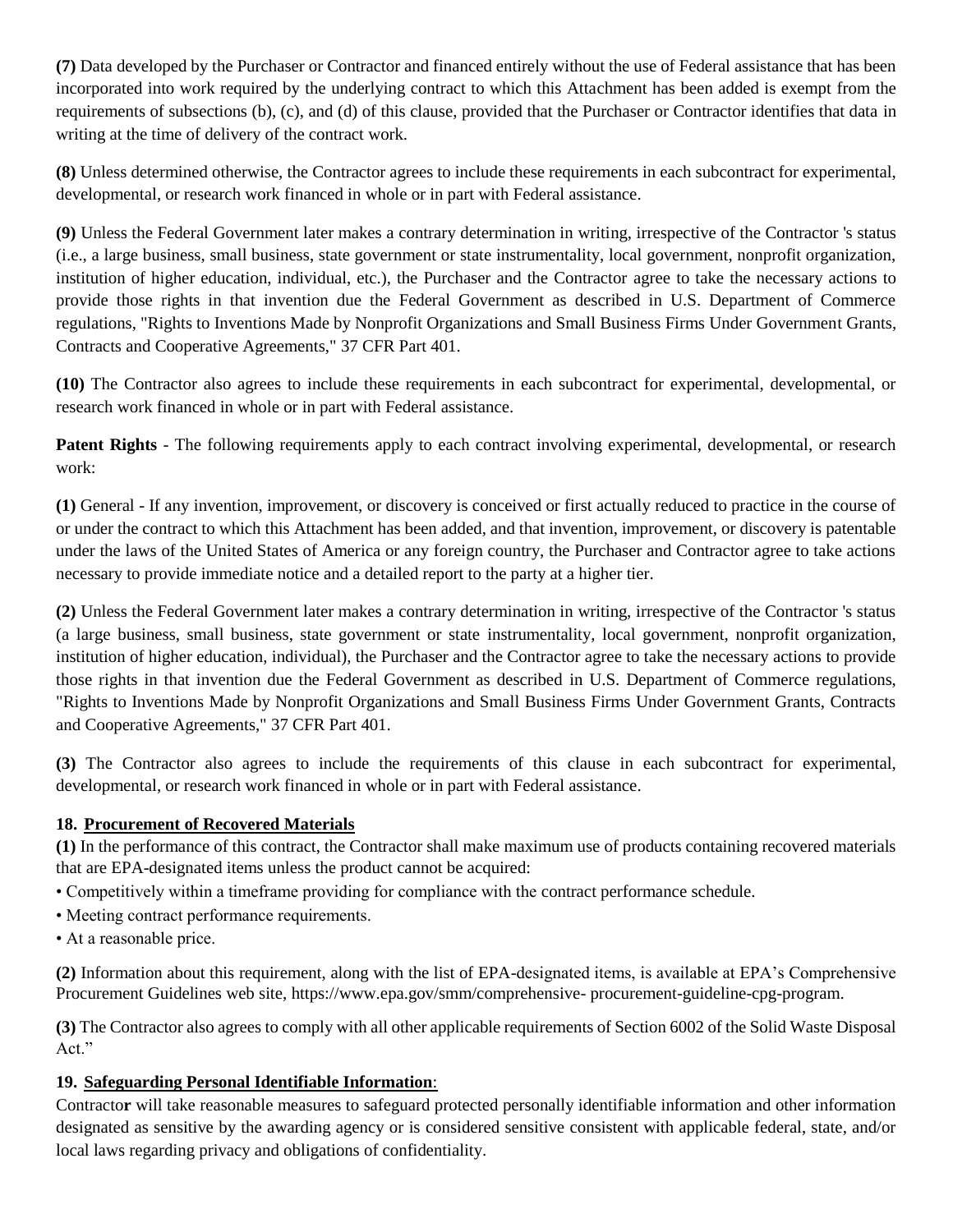**(7)** Data developed by the Purchaser or Contractor and financed entirely without the use of Federal assistance that has been incorporated into work required by the underlying contract to which this Attachment has been added is exempt from the requirements of subsections (b), (c), and (d) of this clause, provided that the Purchaser or Contractor identifies that data in writing at the time of delivery of the contract work.

**(8)** Unless determined otherwise, the Contractor agrees to include these requirements in each subcontract for experimental, developmental, or research work financed in whole or in part with Federal assistance.

**(9)** Unless the Federal Government later makes a contrary determination in writing, irrespective of the Contractor 's status (i.e., a large business, small business, state government or state instrumentality, local government, nonprofit organization, institution of higher education, individual, etc.), the Purchaser and the Contractor agree to take the necessary actions to provide those rights in that invention due the Federal Government as described in U.S. Department of Commerce regulations, "Rights to Inventions Made by Nonprofit Organizations and Small Business Firms Under Government Grants, Contracts and Cooperative Agreements," 37 CFR Part 401.

**(10)** The Contractor also agrees to include these requirements in each subcontract for experimental, developmental, or research work financed in whole or in part with Federal assistance.

Patent Rights - The following requirements apply to each contract involving experimental, developmental, or research work:

**(1)** General - If any invention, improvement, or discovery is conceived or first actually reduced to practice in the course of or under the contract to which this Attachment has been added, and that invention, improvement, or discovery is patentable under the laws of the United States of America or any foreign country, the Purchaser and Contractor agree to take actions necessary to provide immediate notice and a detailed report to the party at a higher tier.

**(2)** Unless the Federal Government later makes a contrary determination in writing, irrespective of the Contractor 's status (a large business, small business, state government or state instrumentality, local government, nonprofit organization, institution of higher education, individual), the Purchaser and the Contractor agree to take the necessary actions to provide those rights in that invention due the Federal Government as described in U.S. Department of Commerce regulations, "Rights to Inventions Made by Nonprofit Organizations and Small Business Firms Under Government Grants, Contracts and Cooperative Agreements," 37 CFR Part 401.

**(3)** The Contractor also agrees to include the requirements of this clause in each subcontract for experimental, developmental, or research work financed in whole or in part with Federal assistance.

#### **18. Procurement of Recovered Materials**

**(1)** In the performance of this contract, the Contractor shall make maximum use of products containing recovered materials that are EPA-designated items unless the product cannot be acquired:

• Competitively within a timeframe providing for compliance with the contract performance schedule.

- Meeting contract performance requirements.
- At a reasonable price.

**(2)** Information about this requirement, along with the list of EPA-designated items, is available at EPA's Comprehensive Procurement Guidelines web site, https://www.epa.gov/smm/comprehensive- procurement-guideline-cpg-program.

**(3)** The Contractor also agrees to comply with all other applicable requirements of Section 6002 of the Solid Waste Disposal Act."

#### **19. Safeguarding Personal Identifiable Information**:

Contracto**r** will take reasonable measures to safeguard protected personally identifiable information and other information designated as sensitive by the awarding agency or is considered sensitive consistent with applicable federal, state, and/or local laws regarding privacy and obligations of confidentiality.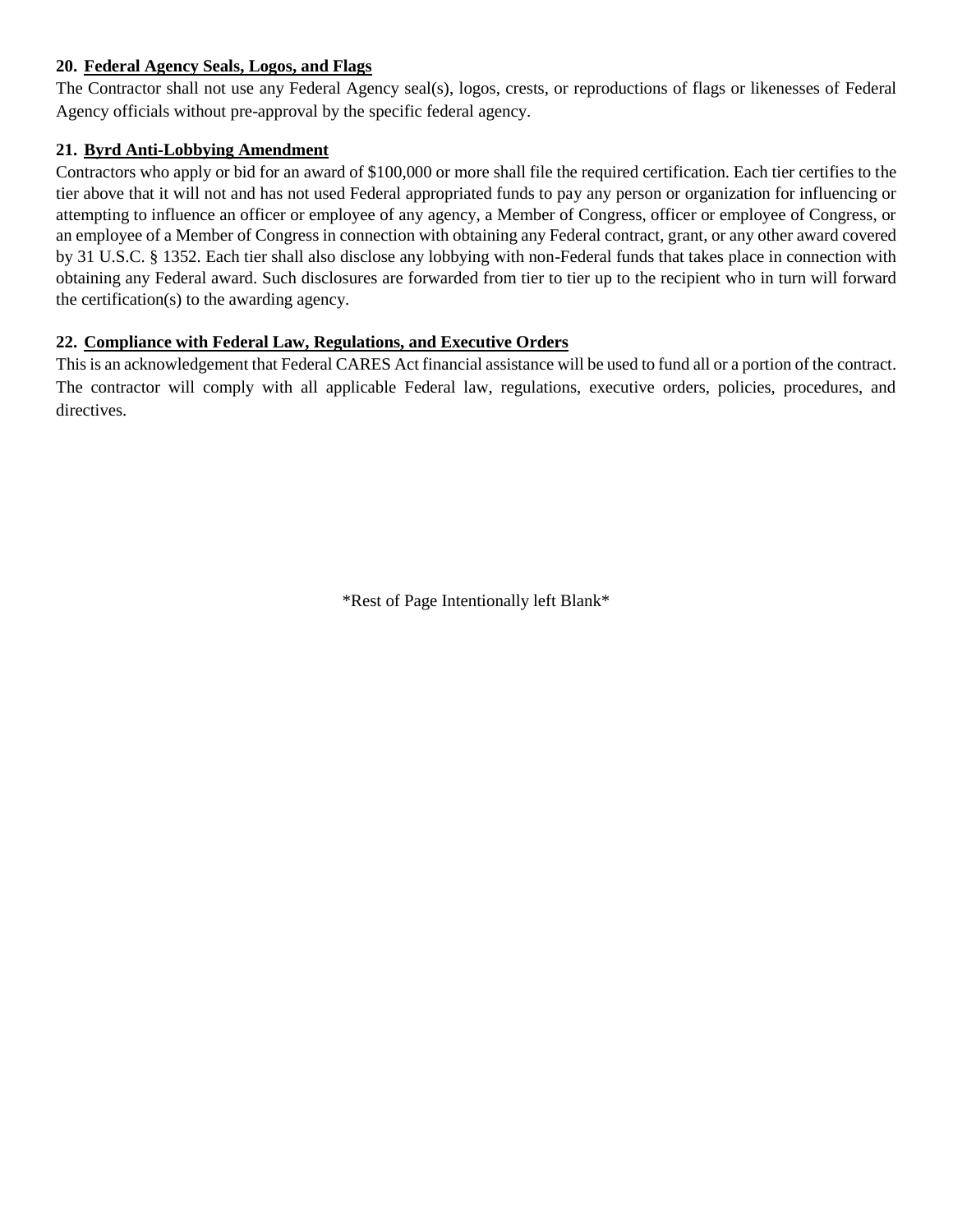#### **20. Federal Agency Seals, Logos, and Flags**

The Contractor shall not use any Federal Agency seal(s), logos, crests, or reproductions of flags or likenesses of Federal Agency officials without pre-approval by the specific federal agency.

#### **21. Byrd Anti-Lobbying Amendment**

Contractors who apply or bid for an award of \$100,000 or more shall file the required certification. Each tier certifies to the tier above that it will not and has not used Federal appropriated funds to pay any person or organization for influencing or attempting to influence an officer or employee of any agency, a Member of Congress, officer or employee of Congress, or an employee of a Member of Congress in connection with obtaining any Federal contract, grant, or any other award covered by 31 U.S.C. § 1352. Each tier shall also disclose any lobbying with non-Federal funds that takes place in connection with obtaining any Federal award. Such disclosures are forwarded from tier to tier up to the recipient who in turn will forward the certification(s) to the awarding agency.

#### **22. Compliance with Federal Law, Regulations, and Executive Orders**

This is an acknowledgement that Federal CARES Act financial assistance will be used to fund all or a portion of the contract. The contractor will comply with all applicable Federal law, regulations, executive orders, policies, procedures, and directives.

\*Rest of Page Intentionally left Blank\*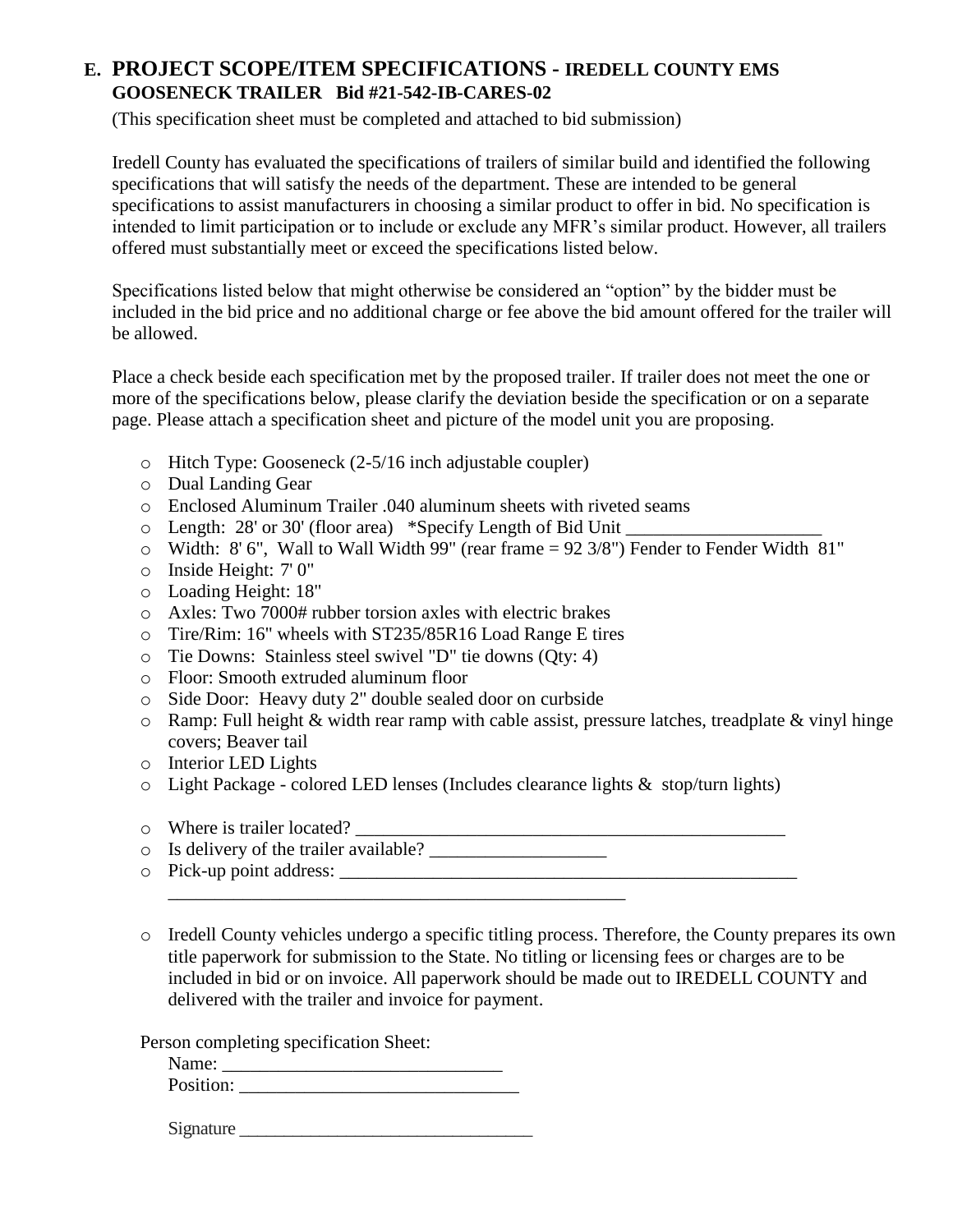### **E. PROJECT SCOPE/ITEM SPECIFICATIONS - IREDELL COUNTY EMS GOOSENECK TRAILER Bid #21-542-IB-CARES-02**

(This specification sheet must be completed and attached to bid submission)

Iredell County has evaluated the specifications of trailers of similar build and identified the following specifications that will satisfy the needs of the department. These are intended to be general specifications to assist manufacturers in choosing a similar product to offer in bid. No specification is intended to limit participation or to include or exclude any MFR's similar product. However, all trailers offered must substantially meet or exceed the specifications listed below.

Specifications listed below that might otherwise be considered an "option" by the bidder must be included in the bid price and no additional charge or fee above the bid amount offered for the trailer will be allowed.

Place a check beside each specification met by the proposed trailer. If trailer does not meet the one or more of the specifications below, please clarify the deviation beside the specification or on a separate page. Please attach a specification sheet and picture of the model unit you are proposing.

- o Hitch Type: Gooseneck (2-5/16 inch adjustable coupler)
- o Dual Landing Gear
- o Enclosed Aluminum Trailer .040 aluminum sheets with riveted seams
- $\circ$  Length: 28' or 30' (floor area) \*Specify Length of Bid Unit
- $\circ$  Width: 8' 6", Wall to Wall Width 99" (rear frame = 92 3/8") Fender to Fender Width 81"
- o Inside Height: 7' 0"
- o Loading Height: 18"
- o Axles: Two 7000# rubber torsion axles with electric brakes
- o Tire/Rim: 16" wheels with ST235/85R16 Load Range E tires
- o Tie Downs: Stainless steel swivel "D" tie downs (Qty: 4)
- o Floor: Smooth extruded aluminum floor
- o Side Door: Heavy duty 2" double sealed door on curbside
- $\circ$  Ramp: Full height & width rear ramp with cable assist, pressure latches, treadplate & vinyl hinge covers; Beaver tail
- o Interior LED Lights
- o Light Package colored LED lenses (Includes clearance lights & stop/turn lights)
- o Where is trailer located? \_\_\_\_\_\_\_\_\_\_\_\_\_\_\_\_\_\_\_\_\_\_\_\_\_\_\_\_\_\_\_\_\_\_\_\_\_\_\_\_\_\_\_\_\_\_

|  | $\circ$ Is delivery of the trailer available? |
|--|-----------------------------------------------|
|--|-----------------------------------------------|

o Pick-up point address: \_\_\_\_\_\_\_\_\_\_\_\_\_\_\_\_\_\_\_\_\_\_\_\_\_\_\_\_\_\_\_\_\_\_\_\_\_\_\_\_\_\_\_\_\_\_\_\_\_

o Iredell County vehicles undergo a specific titling process. Therefore, the County prepares its own title paperwork for submission to the State. No titling or licensing fees or charges are to be included in bid or on invoice. All paperwork should be made out to IREDELL COUNTY and delivered with the trailer and invoice for payment.

Person completing specification Sheet:

| Name:     |  |  |  |
|-----------|--|--|--|
| Position: |  |  |  |
|           |  |  |  |

 $\overline{\phantom{a}}$  ,  $\overline{\phantom{a}}$  ,  $\overline{\phantom{a}}$  ,  $\overline{\phantom{a}}$  ,  $\overline{\phantom{a}}$  ,  $\overline{\phantom{a}}$  ,  $\overline{\phantom{a}}$  ,  $\overline{\phantom{a}}$  ,  $\overline{\phantom{a}}$  ,  $\overline{\phantom{a}}$  ,  $\overline{\phantom{a}}$  ,  $\overline{\phantom{a}}$  ,  $\overline{\phantom{a}}$  ,  $\overline{\phantom{a}}$  ,  $\overline{\phantom{a}}$  ,  $\overline{\phantom{a}}$ 

Signature \_\_\_\_\_\_\_\_\_\_\_\_\_\_\_\_\_\_\_\_\_\_\_\_\_\_\_\_\_\_\_\_\_